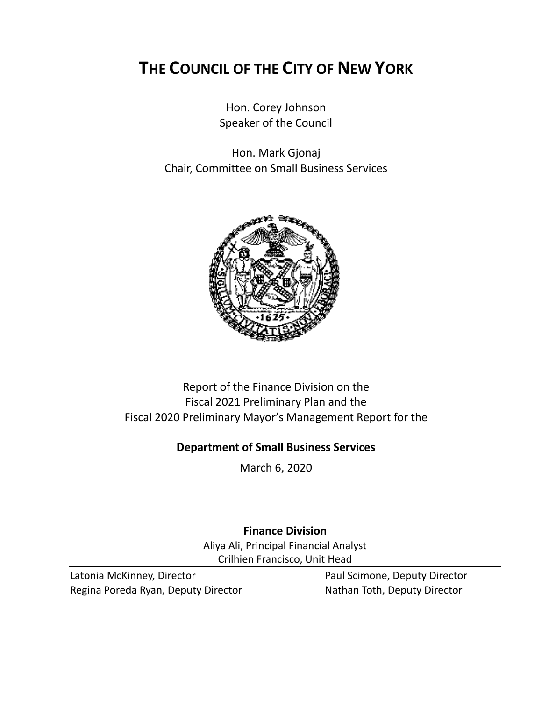# **THE COUNCIL OF THE CITY OF NEW YORK**

Hon. Corey Johnson Speaker of the Council

Hon. Mark Gjonaj Chair, Committee on Small Business Services



# Report of the Finance Division on the Fiscal 2021 Preliminary Plan and the Fiscal 2020 Preliminary Mayor's Management Report for the

# **Department of Small Business Services**

March 6, 2020

**Finance Division** Aliya Ali, Principal Financial Analyst Crilhien Francisco, Unit Head

Latonia McKinney, Director **Paul Scimone, Deputy Director** Regina Poreda Ryan, Deputy Director Nathan Toth, Deputy Director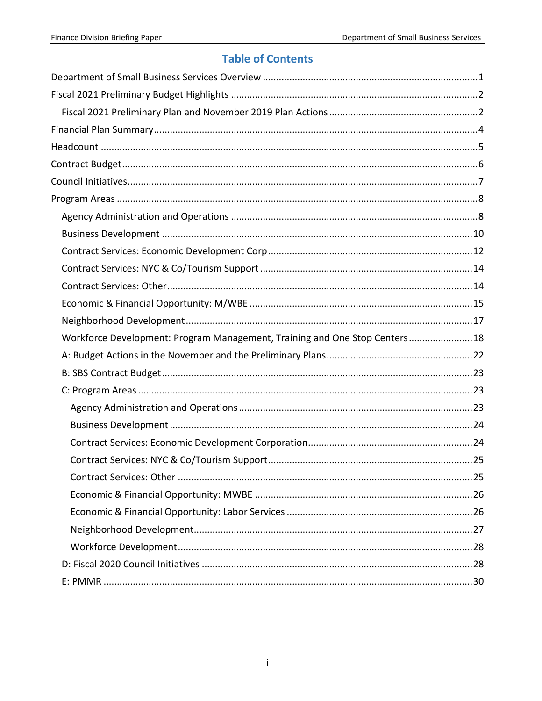# **Table of Contents**

| Workforce Development: Program Management, Training and One Stop Centers18 |  |
|----------------------------------------------------------------------------|--|
|                                                                            |  |
|                                                                            |  |
|                                                                            |  |
|                                                                            |  |
|                                                                            |  |
|                                                                            |  |
|                                                                            |  |
|                                                                            |  |
|                                                                            |  |
|                                                                            |  |
|                                                                            |  |
|                                                                            |  |
|                                                                            |  |
|                                                                            |  |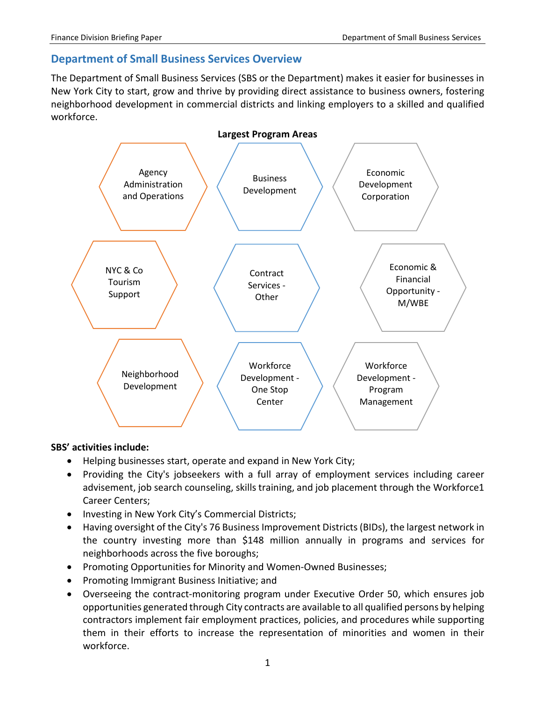# <span id="page-2-0"></span>**Department of Small Business Services Overview**

The Department of Small Business Services (SBS or the Department) makes it easier for businesses in New York City to start, grow and thrive by providing direct assistance to business owners, fostering neighborhood development in commercial districts and linking employers to a skilled and qualified workforce.



#### **SBS' activities include:**

- Helping businesses start, operate and expand in New York City;
- Providing the City's jobseekers with a full array of employment services including career advisement, job search counseling, skills training, and job placement through the [Workforce1](http://www.nyc.gov/workforce1)  [Career Centers;](http://www.nyc.gov/workforce1)
- Investing in New York City's Commercial Districts;
- Having oversight of the City's 76 Business Improvement Districts (BIDs), the largest network in the country investing more than \$148 million annually in programs and services for neighborhoods across the five boroughs;
- Promoting Opportunities for Minority and Women-Owned Businesses;
- Promoting Immigrant Business Initiative; and
- Overseeing the contract-monitoring program under Executive Order 50, which ensures job opportunities generated through City contracts are available to all qualified persons by helping contractors implement fair employment practices, policies, and procedures while supporting them in their efforts to increase the representation of minorities and women in their workforce.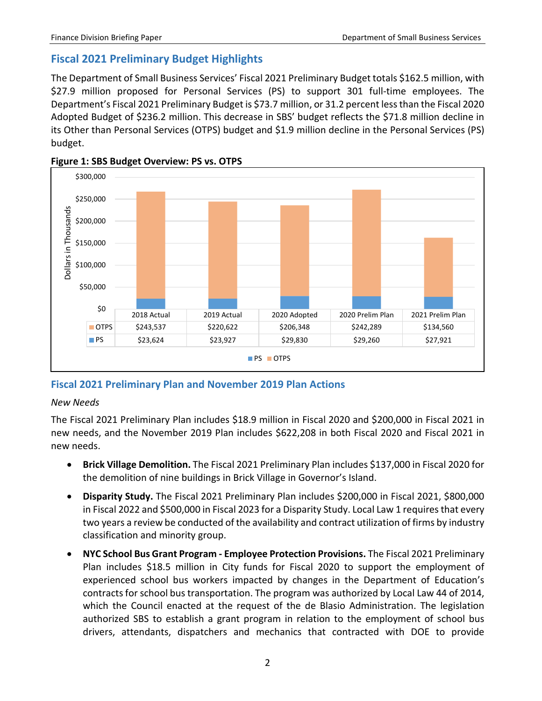# <span id="page-3-0"></span>**Fiscal 2021 Preliminary Budget Highlights**

The Department of Small Business Services' Fiscal 2021 Preliminary Budget totals \$162.5 million, with \$27.9 million proposed for Personal Services (PS) to support 301 full-time employees. The Department's Fiscal 2021 Preliminary Budget is \$73.7 million, or 31.2 percent less than the Fiscal 2020 Adopted Budget of \$236.2 million. This decrease in SBS' budget reflects the \$71.8 million decline in its Other than Personal Services (OTPS) budget and \$1.9 million decline in the Personal Services (PS) budget.





# <span id="page-3-1"></span>**Fiscal 2021 Preliminary Plan and November 2019 Plan Actions**

## *New Needs*

The Fiscal 2021 Preliminary Plan includes \$18.9 million in Fiscal 2020 and \$200,000 in Fiscal 2021 in new needs, and the November 2019 Plan includes \$622,208 in both Fiscal 2020 and Fiscal 2021 in new needs.

- **Brick Village Demolition.** The Fiscal 2021 Preliminary Plan includes \$137,000 in Fiscal 2020 for the demolition of nine buildings in Brick Village in Governor's Island.
- **Disparity Study.** The Fiscal 2021 Preliminary Plan includes \$200,000 in Fiscal 2021, \$800,000 in Fiscal 2022 and \$500,000 in Fiscal 2023 for a Disparity Study. Local Law 1 requires that every two years a review be conducted of the availability and contract utilization of firms by industry classification and minority group.
- **NYC School Bus Grant Program - Employee Protection Provisions.** The Fiscal 2021 Preliminary Plan includes \$18.5 million in City funds for Fiscal 2020 to support the employment of experienced school bus workers impacted by changes in the Department of Education's contracts for school bus transportation. The program was authorized by Local Law 44 of 2014, which the Council enacted at the request of the de Blasio Administration. The legislation authorized SBS to establish a grant program in relation to the employment of school bus drivers, attendants, dispatchers and mechanics that contracted with DOE to provide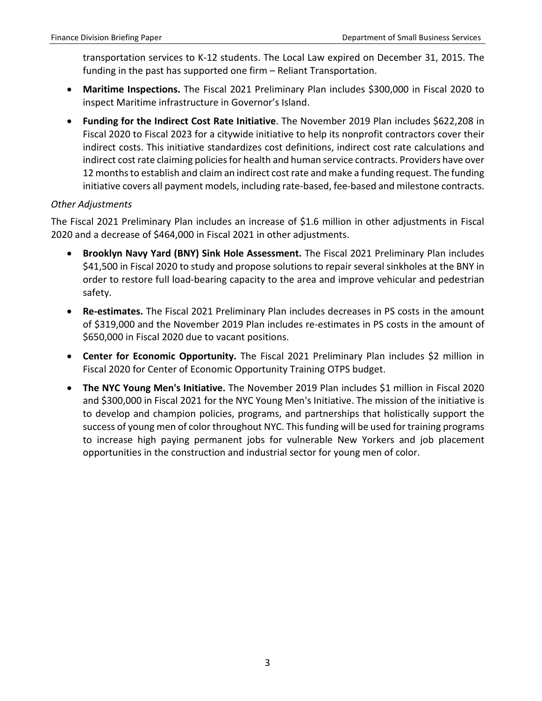transportation services to K-12 students. The Local Law expired on December 31, 2015. The funding in the past has supported one firm – Reliant Transportation.

- **Maritime Inspections.** The Fiscal 2021 Preliminary Plan includes \$300,000 in Fiscal 2020 to inspect Maritime infrastructure in Governor's Island.
- **Funding for the Indirect Cost Rate Initiative**. The November 2019 Plan includes \$622,208 in Fiscal 2020 to Fiscal 2023 for a citywide initiative to help its nonprofit contractors cover their indirect costs. This initiative standardizes cost definitions, indirect cost rate calculations and indirect cost rate claiming policies for health and human service contracts. Providers have over 12 months to establish and claim an indirect cost rate and make a funding request. The funding initiative covers all payment models, including rate-based, fee-based and milestone contracts.

## *Other Adjustments*

The Fiscal 2021 Preliminary Plan includes an increase of \$1.6 million in other adjustments in Fiscal 2020 and a decrease of \$464,000 in Fiscal 2021 in other adjustments.

- **Brooklyn Navy Yard (BNY) Sink Hole Assessment.** The Fiscal 2021 Preliminary Plan includes \$41,500 in Fiscal 2020 to study and propose solutions to repair several sinkholes at the BNY in order to restore full load-bearing capacity to the area and improve vehicular and pedestrian safety.
- **Re-estimates.** The Fiscal 2021 Preliminary Plan includes decreases in PS costs in the amount of \$319,000 and the November 2019 Plan includes re-estimates in PS costs in the amount of \$650,000 in Fiscal 2020 due to vacant positions.
- **Center for Economic Opportunity.** The Fiscal 2021 Preliminary Plan includes \$2 million in Fiscal 2020 for Center of Economic Opportunity Training OTPS budget.
- **The NYC Young Men's Initiative.** The November 2019 Plan includes \$1 million in Fiscal 2020 and \$300,000 in Fiscal 2021 for the NYC Young Men's Initiative. The mission of the initiative is to develop and champion policies, programs, and partnerships that holistically support the success of young men of color throughout NYC. This funding will be used for training programs to increase high paying permanent jobs for vulnerable New Yorkers and job placement opportunities in the construction and industrial sector for young men of color.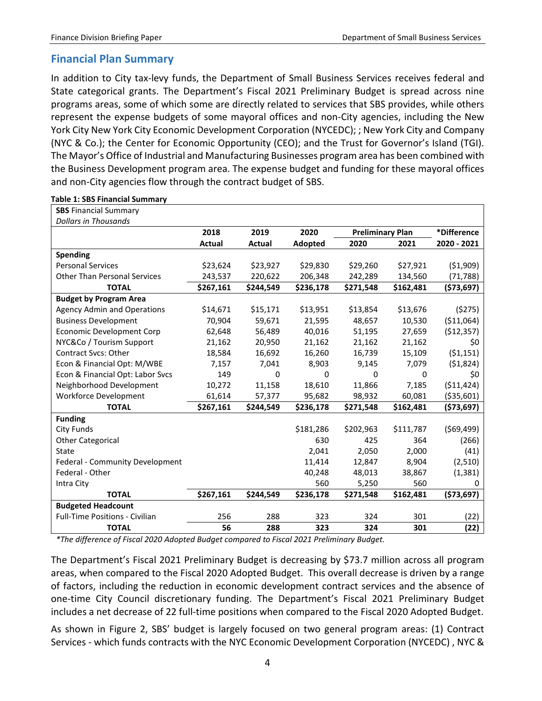## <span id="page-5-0"></span>**Financial Plan Summary**

In addition to City tax-levy funds, the Department of Small Business Services receives federal and State categorical grants. The Department's Fiscal 2021 Preliminary Budget is spread across nine programs areas, some of which some are directly related to services that SBS provides, while others represent the expense budgets of some mayoral offices and non-City agencies, including the New York City New York City Economic Development Corporation (NYCEDC); ; New York City and Company (NYC & Co.); the Center for Economic Opportunity (CEO); and the Trust for Governor's Island (TGI). The Mayor's Office of Industrial and Manufacturing Businesses program area has been combined with the Business Development program area. The expense budget and funding for these mayoral offices and non-City agencies flow through the contract budget of SBS.

| <b>SBS Financial Summary</b>        |           |           |           |                         |           |             |
|-------------------------------------|-----------|-----------|-----------|-------------------------|-----------|-------------|
| <b>Dollars in Thousands</b>         |           |           |           |                         |           |             |
|                                     | 2018      | 2019      | 2020      | <b>Preliminary Plan</b> |           | *Difference |
|                                     | Actual    | Actual    | Adopted   | 2020                    | 2021      | 2020 - 2021 |
| <b>Spending</b>                     |           |           |           |                         |           |             |
| <b>Personal Services</b>            | \$23,624  | \$23,927  | \$29,830  | \$29,260                | \$27,921  | (51,909)    |
| <b>Other Than Personal Services</b> | 243,537   | 220,622   | 206,348   | 242,289                 | 134,560   | (71,788)    |
| <b>TOTAL</b>                        | \$267,161 | \$244,549 | \$236,178 | \$271,548               | \$162,481 | (\$73,697)  |
| <b>Budget by Program Area</b>       |           |           |           |                         |           |             |
| <b>Agency Admin and Operations</b>  | \$14,671  | \$15,171  | \$13,951  | \$13,854                | \$13,676  | (5275)      |
| <b>Business Development</b>         | 70,904    | 59,671    | 21,595    | 48,657                  | 10,530    | ( \$11,064) |
| <b>Economic Development Corp</b>    | 62,648    | 56,489    | 40,016    | 51,195                  | 27,659    | (512, 357)  |
| NYC&Co / Tourism Support            | 21,162    | 20,950    | 21,162    | 21,162                  | 21,162    | \$0         |
| <b>Contract Svcs: Other</b>         | 18,584    | 16,692    | 16,260    | 16,739                  | 15,109    | (51, 151)   |
| Econ & Financial Opt: M/WBE         | 7,157     | 7,041     | 8,903     | 9,145                   | 7,079     | (51,824)    |
| Econ & Financial Opt: Labor Svcs    | 149       | 0         | 0         | 0                       | 0         | \$0         |
| Neighborhood Development            | 10,272    | 11,158    | 18,610    | 11,866                  | 7,185     | ( \$11,424) |
| <b>Workforce Development</b>        | 61,614    | 57,377    | 95,682    | 98,932                  | 60,081    | ( \$35,601) |
| <b>TOTAL</b>                        | \$267,161 | \$244,549 | \$236,178 | \$271,548               | \$162,481 | (573, 697)  |
| <b>Funding</b>                      |           |           |           |                         |           |             |
| City Funds                          |           |           | \$181,286 | \$202,963               | \$111,787 | (569, 499)  |
| <b>Other Categorical</b>            |           |           | 630       | 425                     | 364       | (266)       |
| State                               |           |           | 2,041     | 2,050                   | 2,000     | (41)        |
| Federal - Community Development     |           |           | 11,414    | 12,847                  | 8,904     | (2,510)     |
| Federal - Other                     |           |           | 40,248    | 48,013                  | 38,867    | (1, 381)    |
| Intra City                          |           |           | 560       | 5,250                   | 560       | 0           |
| <b>TOTAL</b>                        | \$267,161 | \$244,549 | \$236,178 | \$271,548               | \$162,481 | (573, 697)  |
| <b>Budgeted Headcount</b>           |           |           |           |                         |           |             |
| Full-Time Positions - Civilian      | 256       | 288       | 323       | 324                     | 301       | (22)        |
| <b>TOTAL</b>                        | 56        | 288       | 323       | 324                     | 301       | (22)        |

#### **Table 1: SBS Financial Summary**

*\*The difference of Fiscal 2020 Adopted Budget compared to Fiscal 2021 Preliminary Budget.*

The Department's Fiscal 2021 Preliminary Budget is decreasing by \$73.7 million across all program areas, when compared to the Fiscal 2020 Adopted Budget. This overall decrease is driven by a range of factors, including the reduction in economic development contract services and the absence of one-time City Council discretionary funding. The Department's Fiscal 2021 Preliminary Budget includes a net decrease of 22 full-time positions when compared to the Fiscal 2020 Adopted Budget.

As shown in Figure 2, SBS' budget is largely focused on two general program areas: (1) Contract Services - which funds contracts with the NYC Economic Development Corporation (NYCEDC) , NYC &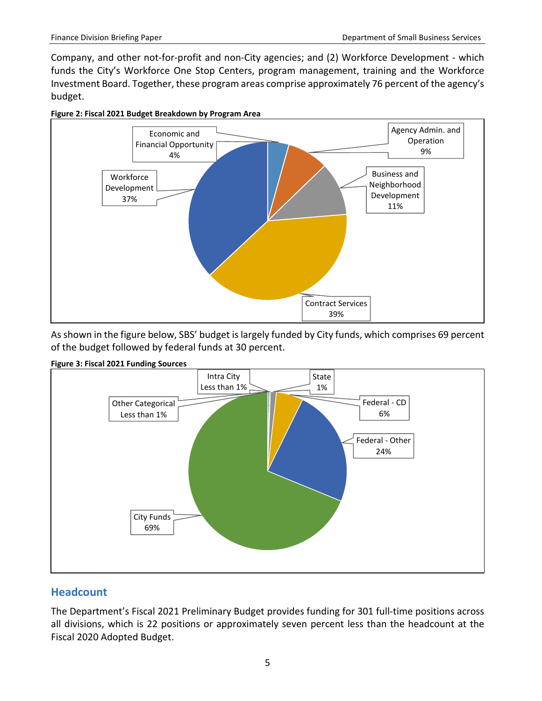Company, and other not-for-profit and non-City agencies; and (2) Workforce Development - which funds the City's Workforce One Stop Centers, program management, training and the Workforce Investment Board. Together, these program areas comprise approximately 76 percent of the agency's budget.



**Figure 2: Fiscal 2021 Budget Breakdown by Program Area**

As shown in the figure below, SBS' budget is largely funded by City funds, which comprises 69 percent of the budget followed by federal funds at 30 percent.



**Figure 3: Fiscal 2021 Funding Sources**

## <span id="page-6-0"></span>**Headcount**

The Department's Fiscal 2021 Preliminary Budget provides funding for 301 full-time positions across all divisions, which is 22 positions or approximately seven percent less than the headcount at the Fiscal 2020 Adopted Budget.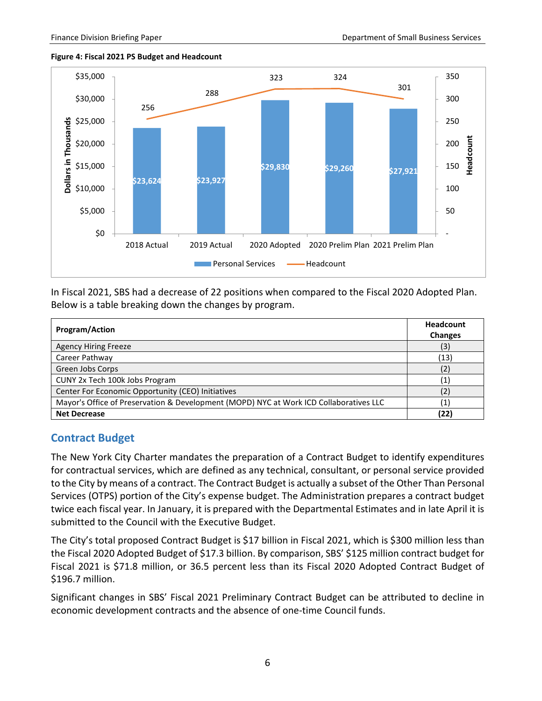#### **Figure 4: Fiscal 2021 PS Budget and Headcount**



In Fiscal 2021, SBS had a decrease of 22 positions when compared to the Fiscal 2020 Adopted Plan. Below is a table breaking down the changes by program.

| <b>Program/Action</b>                                                                  | <b>Headcount</b><br><b>Changes</b> |
|----------------------------------------------------------------------------------------|------------------------------------|
| <b>Agency Hiring Freeze</b>                                                            | (3)                                |
| Career Pathway                                                                         | (13)                               |
| Green Jobs Corps                                                                       | (2)                                |
| CUNY 2x Tech 100k Jobs Program                                                         | (1)                                |
| Center For Economic Opportunity (CEO) Initiatives                                      | (2)                                |
| Mayor's Office of Preservation & Development (MOPD) NYC at Work ICD Collaboratives LLC | $\left( 1\right)$                  |
| <b>Net Decrease</b>                                                                    | (22)                               |

## <span id="page-7-0"></span>**Contract Budget**

The New York City Charter mandates the preparation of a Contract Budget to identify expenditures for contractual services, which are defined as any technical, consultant, or personal service provided to the City by means of a contract. The Contract Budget is actually a subset of the Other Than Personal Services (OTPS) portion of the City's expense budget. The Administration prepares a contract budget twice each fiscal year. In January, it is prepared with the Departmental Estimates and in late April it is submitted to the Council with the Executive Budget.

The City's total proposed Contract Budget is \$17 billion in Fiscal 2021, which is \$300 million less than the Fiscal 2020 Adopted Budget of \$17.3 billion. By comparison, SBS' \$125 million contract budget for Fiscal 2021 is \$71.8 million, or 36.5 percent less than its Fiscal 2020 Adopted Contract Budget of \$196.7 million.

Significant changes in SBS' Fiscal 2021 Preliminary Contract Budget can be attributed to decline in economic development contracts and the absence of one-time Council funds.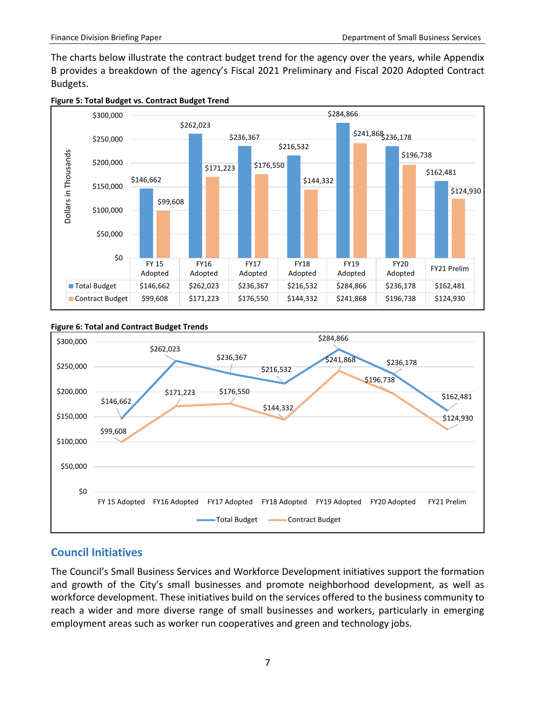The charts below illustrate the contract budget trend for the agency over the years, while Appendix B provides a breakdown of the agency's Fiscal 2021 Preliminary and Fiscal 2020 Adopted Contract Budgets.





#### **Figure 6: Total and Contract Budget Trends**



## <span id="page-8-0"></span>**Council Initiatives**

The Council's Small Business Services and Workforce Development initiatives support the formation and growth of the City's small businesses and promote neighborhood development, as well as workforce development. These initiatives build on the services offered to the business community to reach a wider and more diverse range of small businesses and workers, particularly in emerging employment areas such as worker run cooperatives and green and technology jobs.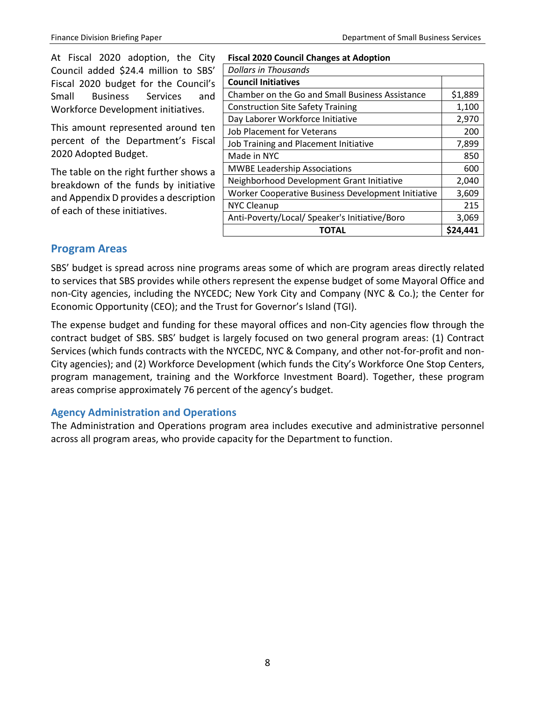At Fiscal 2020 adoption, the City Council added \$24.4 million to SBS' Fiscal 2020 budget for the Council's Small Business Services and Workforce Development initiatives.

This amount represented around ten percent of the Department's Fiscal 2020 Adopted Budget.

The table on the right further shows a breakdown of the funds by initiative and Appendix D provides a description of each of these initiatives.

| <b>Fiscal 2020 Council Changes at Adoption</b>     |          |  |  |  |  |  |  |
|----------------------------------------------------|----------|--|--|--|--|--|--|
| Dollars in Thousands                               |          |  |  |  |  |  |  |
| <b>Council Initiatives</b>                         |          |  |  |  |  |  |  |
| Chamber on the Go and Small Business Assistance    | \$1,889  |  |  |  |  |  |  |
| <b>Construction Site Safety Training</b>           | 1,100    |  |  |  |  |  |  |
| Day Laborer Workforce Initiative                   | 2,970    |  |  |  |  |  |  |
| Job Placement for Veterans                         | 200      |  |  |  |  |  |  |
| Job Training and Placement Initiative              | 7,899    |  |  |  |  |  |  |
| Made in NYC                                        | 850      |  |  |  |  |  |  |
| <b>MWBE Leadership Associations</b>                | 600      |  |  |  |  |  |  |
| Neighborhood Development Grant Initiative          | 2,040    |  |  |  |  |  |  |
| Worker Cooperative Business Development Initiative | 3,609    |  |  |  |  |  |  |
| <b>NYC Cleanup</b>                                 | 215      |  |  |  |  |  |  |
| Anti-Poverty/Local/ Speaker's Initiative/Boro      | 3,069    |  |  |  |  |  |  |
| ΤΟΤΑL                                              | \$24,441 |  |  |  |  |  |  |

## <span id="page-9-0"></span>**Program Areas**

SBS' budget is spread across nine programs areas some of which are program areas directly related to services that SBS provides while others represent the expense budget of some Mayoral Office and non-City agencies, including the NYCEDC; New York City and Company (NYC & Co.); the Center for Economic Opportunity (CEO); and the Trust for Governor's Island (TGI).

The expense budget and funding for these mayoral offices and non-City agencies flow through the contract budget of SBS. SBS' budget is largely focused on two general program areas: (1) Contract Services (which funds contracts with the NYCEDC, NYC & Company, and other not-for-profit and non-City agencies); and (2) Workforce Development (which funds the City's Workforce One Stop Centers, program management, training and the Workforce Investment Board). Together, these program areas comprise approximately 76 percent of the agency's budget.

## <span id="page-9-1"></span>**Agency Administration and Operations**

The Administration and Operations program area includes executive and administrative personnel across all program areas, who provide capacity for the Department to function.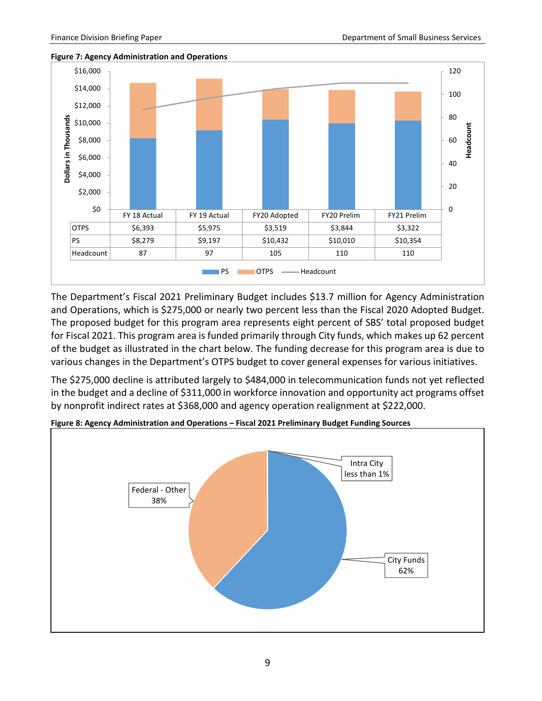



The Department's Fiscal 2021 Preliminary Budget includes \$13.7 million for Agency Administration and Operations, which is \$275,000 or nearly two percent less than the Fiscal 2020 Adopted Budget. The proposed budget for this program area represents eight percent of SBS' total proposed budget for Fiscal 2021. This program area is funded primarily through City funds, which makes up 62 percent of the budget as illustrated in the chart below. The funding decrease for this program area is due to various changes in the Department's OTPS budget to cover general expenses for various initiatives.

The \$275,000 decline is attributed largely to \$484,000 in telecommunication funds not yet reflected in the budget and a decline of \$311,000 in workforce innovation and opportunity act programs offset by nonprofit indirect rates at \$368,000 and agency operation realignment at \$222,000.



**Figure 8: Agency Administration and Operations – Fiscal 2021 Preliminary Budget Funding Sources**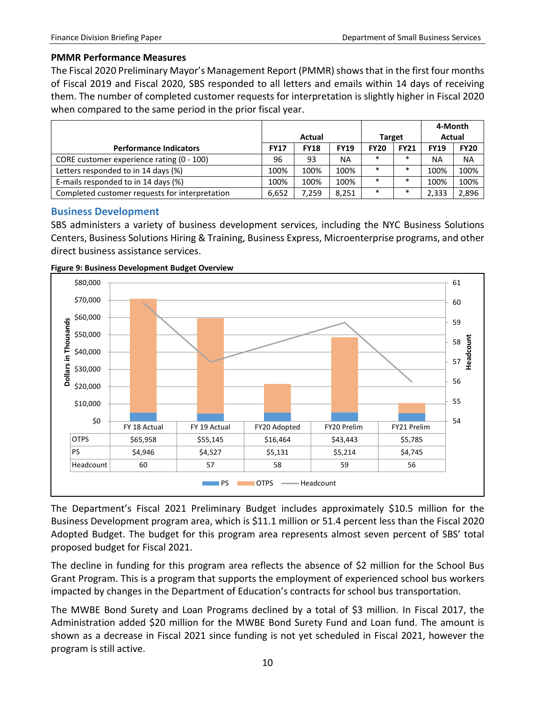#### **PMMR Performance Measures**

The Fiscal 2020 Preliminary Mayor's Management Report (PMMR) shows that in the first four months of Fiscal 2019 and Fiscal 2020, SBS responded to all letters and emails within 14 days of receiving them. The number of completed customer requests for interpretation is slightly higher in Fiscal 2020 when compared to the same period in the prior fiscal year.

|                                                |             |             |             |               |             | 4-Month       |             |
|------------------------------------------------|-------------|-------------|-------------|---------------|-------------|---------------|-------------|
|                                                |             | Actual      |             | <b>Target</b> |             | <b>Actual</b> |             |
| <b>Performance Indicators</b>                  | <b>FY17</b> | <b>FY18</b> | <b>FY19</b> | <b>FY20</b>   | <b>FY21</b> | <b>FY19</b>   | <b>FY20</b> |
| CORE customer experience rating (0 - 100)      | 96          | 93          | <b>NA</b>   | $\ast$        | $\ast$      | ΝA            | <b>NA</b>   |
| Letters responded to in 14 days (%)            | 100%        | 100%        | 100%        | $\ast$        | $\ast$      | 100%          | 100%        |
| E-mails responded to in 14 days (%)            | 100%        | 100%        | 100%        | $\ast$        | $\ast$      | 100%          | 100%        |
| Completed customer requests for interpretation | 6,652       | 7.259       | 8.251       | $\ast$        | $\ast$      | 2,333         | 2,896       |

## <span id="page-11-0"></span>**Business Development**

SBS administers a variety of business development services, including the NYC Business Solutions Centers, Business Solutions Hiring & Training, Business Express, Microenterprise programs, and other direct business assistance services.





The Department's Fiscal 2021 Preliminary Budget includes approximately \$10.5 million for the Business Development program area, which is \$11.1 million or 51.4 percent less than the Fiscal 2020 Adopted Budget. The budget for this program area represents almost seven percent of SBS' total proposed budget for Fiscal 2021.

The decline in funding for this program area reflects the absence of \$2 million for the School Bus Grant Program. This is a program that supports the employment of experienced school bus workers impacted by changes in the Department of Education's contracts for school bus transportation.

The MWBE Bond Surety and Loan Programs declined by a total of \$3 million. In Fiscal 2017, the Administration added \$20 million for the MWBE Bond Surety Fund and Loan fund. The amount is shown as a decrease in Fiscal 2021 since funding is not yet scheduled in Fiscal 2021, however the program is still active.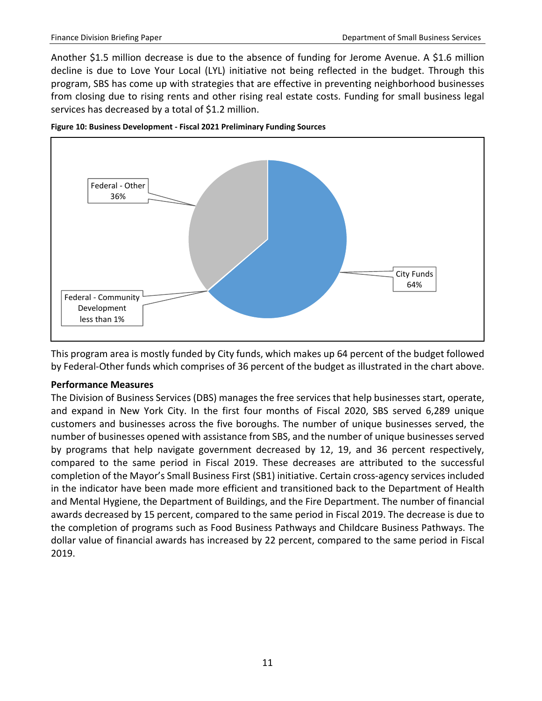Another \$1.5 million decrease is due to the absence of funding for Jerome Avenue. A \$1.6 million decline is due to Love Your Local (LYL) initiative not being reflected in the budget. Through this program, SBS has come up with strategies that are effective in preventing neighborhood businesses from closing due to rising rents and other rising real estate costs. Funding for small business legal services has decreased by a total of \$1.2 million.





This program area is mostly funded by City funds, which makes up 64 percent of the budget followed by Federal-Other funds which comprises of 36 percent of the budget as illustrated in the chart above.

#### **Performance Measures**

The Division of Business Services (DBS) manages the free services that help businesses start, operate, and expand in New York City. In the first four months of Fiscal 2020, SBS served 6,289 unique customers and businesses across the five boroughs. The number of unique businesses served, the number of businesses opened with assistance from SBS, and the number of unique businesses served by programs that help navigate government decreased by 12, 19, and 36 percent respectively, compared to the same period in Fiscal 2019. These decreases are attributed to the successful completion of the Mayor's Small Business First (SB1) initiative. Certain cross-agency services included in the indicator have been made more efficient and transitioned back to the Department of Health and Mental Hygiene, the Department of Buildings, and the Fire Department. The number of financial awards decreased by 15 percent, compared to the same period in Fiscal 2019. The decrease is due to the completion of programs such as Food Business Pathways and Childcare Business Pathways. The dollar value of financial awards has increased by 22 percent, compared to the same period in Fiscal 2019.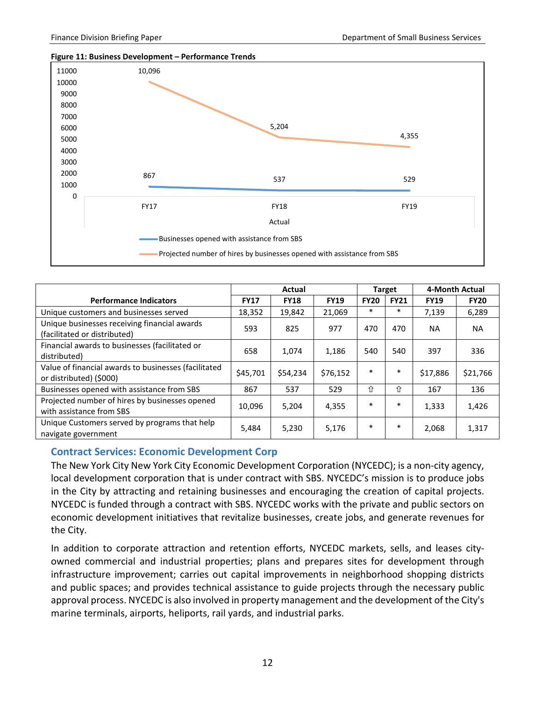



|                                                                                 |             |             | <b>Target</b> | 4-Month Actual |             |             |             |
|---------------------------------------------------------------------------------|-------------|-------------|---------------|----------------|-------------|-------------|-------------|
| <b>Performance Indicators</b>                                                   | <b>FY17</b> | <b>FY18</b> | <b>FY19</b>   | <b>FY20</b>    | <b>FY21</b> | <b>FY19</b> | <b>FY20</b> |
| Unique customers and businesses served                                          | 18,352      | 19,842      | 21,069        | $\ast$         | $\ast$      | 7,139       | 6,289       |
| Unique businesses receiving financial awards<br>(facilitated or distributed)    | 593         | 825         | 977           | 470            | 470         | NA.         | <b>NA</b>   |
| Financial awards to businesses (facilitated or<br>distributed)                  | 658         | 1.074       | 1,186         | 540            | 540         | 397         | 336         |
| Value of financial awards to businesses (facilitated<br>or distributed) (\$000) | \$45,701    | \$54,234    | \$76,152      | $\ast$         | $\ast$      | \$17,886    | \$21,766    |
| Businesses opened with assistance from SBS                                      | 867         | 537         | 529           | 介              | 介           | 167         | 136         |
| Projected number of hires by businesses opened<br>with assistance from SBS      | 10,096      | 5,204       | 4,355         | $\ast$         | $\ast$      | 1,333       | 1,426       |
| Unique Customers served by programs that help<br>navigate government            | 5,484       | 5.230       | 5,176         | $\ast$         | $\ast$      | 2,068       | 1,317       |

#### <span id="page-13-0"></span>**Contract Services: Economic Development Corp**

The New York City New York City Economic Development Corporation (NYCEDC); is a non-city agency, local development corporation that is under contract with SBS. NYCEDC's mission is to produce jobs in the City by attracting and retaining businesses and encouraging the creation of capital projects. NYCEDC is funded through a contract with SBS. NYCEDC works with the private and public sectors on economic development initiatives that revitalize businesses, create jobs, and generate revenues for the City.

In addition to corporate attraction and retention efforts, NYCEDC markets, sells, and leases cityowned commercial and industrial properties; plans and prepares sites for development through infrastructure improvement; carries out capital improvements in neighborhood shopping districts and public spaces; and provides technical assistance to guide projects through the necessary public approval process. NYCEDC is also involved in property management and the development of the City's marine terminals, airports, heliports, rail yards, and industrial parks.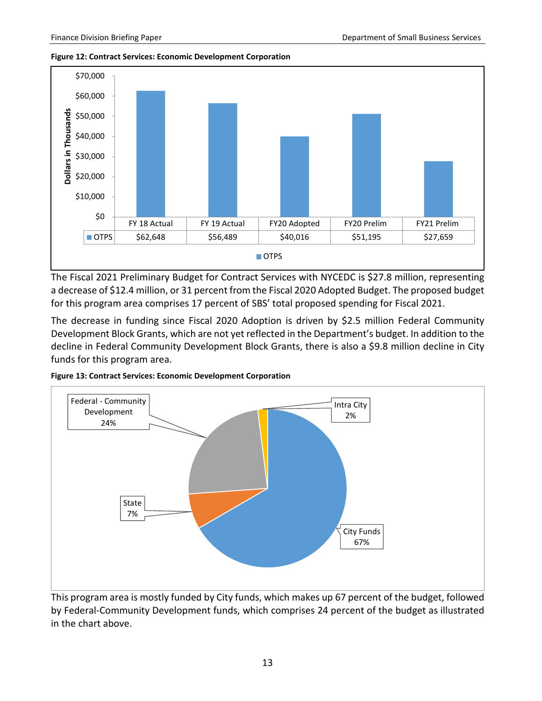#### **Figure 12: Contract Services: Economic Development Corporation**



The Fiscal 2021 Preliminary Budget for Contract Services with NYCEDC is \$27.8 million, representing a decrease of \$12.4 million, or 31 percent from the Fiscal 2020 Adopted Budget. The proposed budget for this program area comprises 17 percent of SBS' total proposed spending for Fiscal 2021.

The decrease in funding since Fiscal 2020 Adoption is driven by \$2.5 million Federal Community Development Block Grants, which are not yet reflected in the Department's budget. In addition to the decline in Federal Community Development Block Grants, there is also a \$9.8 million decline in City funds for this program area.





This program area is mostly funded by City funds, which makes up 67 percent of the budget, followed by Federal-Community Development funds, which comprises 24 percent of the budget as illustrated in the chart above.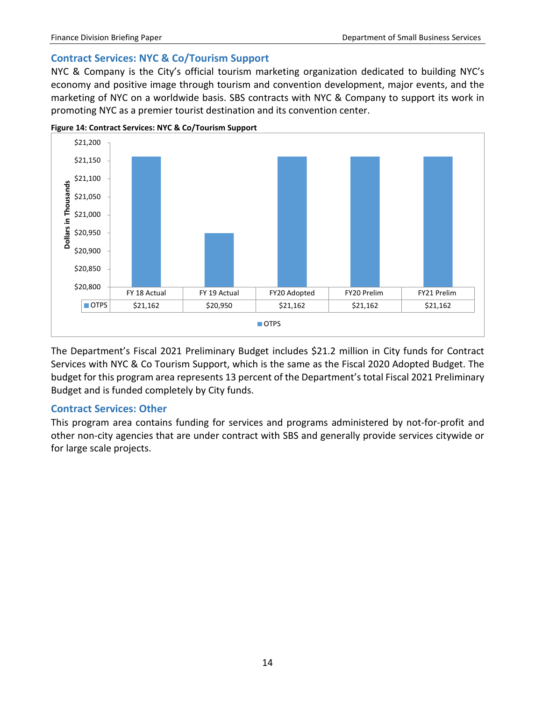#### <span id="page-15-0"></span>**Contract Services: NYC & Co/Tourism Support**

NYC & Company is the City's official tourism marketing organization dedicated to building NYC's economy and positive image through tourism and convention development, major events, and the marketing of NYC on a worldwide basis. SBS contracts with NYC & Company to support its work in promoting NYC as a premier tourist destination and its convention center.



**Figure 14: Contract Services: NYC & Co/Tourism Support**

The Department's Fiscal 2021 Preliminary Budget includes \$21.2 million in City funds for Contract Services with NYC & Co Tourism Support, which is the same as the Fiscal 2020 Adopted Budget. The budget for this program area represents 13 percent of the Department's total Fiscal 2021 Preliminary Budget and is funded completely by City funds.

#### <span id="page-15-1"></span>**Contract Services: Other**

This program area contains funding for services and programs administered by not-for-profit and other non-city agencies that are under contract with SBS and generally provide services citywide or for large scale projects.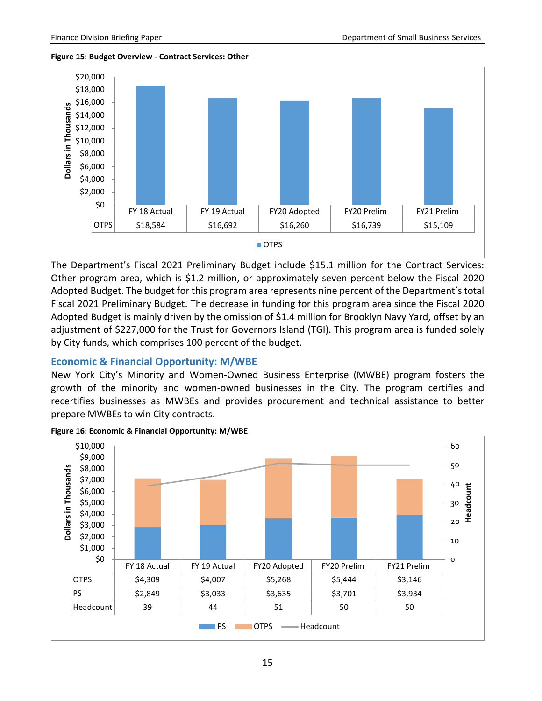**Figure 15: Budget Overview - Contract Services: Other**



The Department's Fiscal 2021 Preliminary Budget include \$15.1 million for the Contract Services: Other program area, which is \$1.2 million, or approximately seven percent below the Fiscal 2020 Adopted Budget. The budget for this program area represents nine percent of the Department's total Fiscal 2021 Preliminary Budget. The decrease in funding for this program area since the Fiscal 2020 Adopted Budget is mainly driven by the omission of \$1.4 million for Brooklyn Navy Yard, offset by an adjustment of \$227,000 for the Trust for Governors Island (TGI). This program area is funded solely by City funds, which comprises 100 percent of the budget.

#### <span id="page-16-0"></span>**Economic & Financial Opportunity: M/WBE**

New York City's Minority and Women-Owned Business Enterprise (MWBE) program fosters the growth of the minority and women-owned businesses in the City. The program certifies and recertifies businesses as MWBEs and provides procurement and technical assistance to better prepare MWBEs to win City contracts.



**Figure 16: Economic & Financial Opportunity: M/WBE**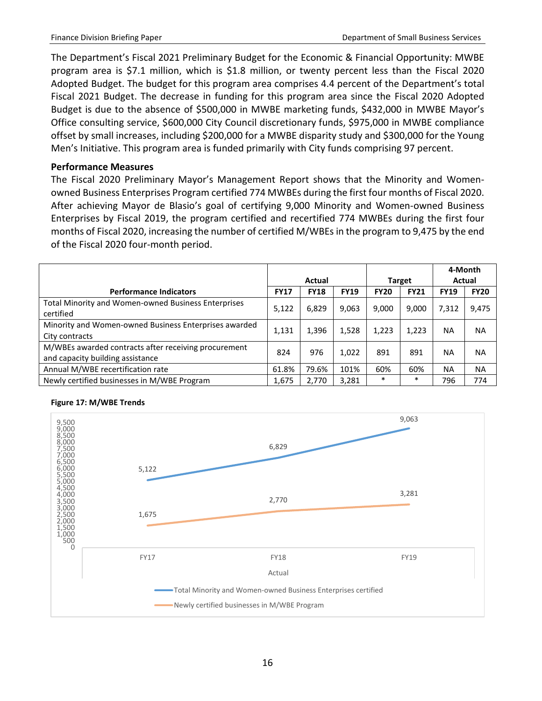The Department's Fiscal 2021 Preliminary Budget for the Economic & Financial Opportunity: MWBE program area is \$7.1 million, which is \$1.8 million, or twenty percent less than the Fiscal 2020 Adopted Budget. The budget for this program area comprises 4.4 percent of the Department's total Fiscal 2021 Budget. The decrease in funding for this program area since the Fiscal 2020 Adopted Budget is due to the absence of \$500,000 in MWBE marketing funds, \$432,000 in MWBE Mayor's Office consulting service, \$600,000 City Council discretionary funds, \$975,000 in MWBE compliance offset by small increases, including \$200,000 for a MWBE disparity study and \$300,000 for the Young Men's Initiative. This program area is funded primarily with City funds comprising 97 percent.

#### **Performance Measures**

The Fiscal 2020 Preliminary Mayor's Management Report shows that the Minority and Womenowned Business Enterprises Program certified 774 MWBEs during the first four months of Fiscal 2020. After achieving Mayor de Blasio's goal of certifying 9,000 Minority and Women-owned Business Enterprises by Fiscal 2019, the program certified and recertified 774 MWBEs during the first four months of Fiscal 2020, increasing the number of certified M/WBEs in the program to 9,475 by the end of the Fiscal 2020 four-month period.

|                                                                                          |             |             |             |               |             | 4-Month     |             |
|------------------------------------------------------------------------------------------|-------------|-------------|-------------|---------------|-------------|-------------|-------------|
|                                                                                          |             | Actual      |             | <b>Target</b> |             | Actual      |             |
| <b>Performance Indicators</b>                                                            | <b>FY17</b> | <b>FY18</b> | <b>FY19</b> | <b>FY20</b>   | <b>FY21</b> | <b>FY19</b> | <b>FY20</b> |
| <b>Total Minority and Women-owned Business Enterprises</b><br>certified                  | 5,122       | 6,829       | 9,063       | 9.000         | 9,000       | 7,312       | 9,475       |
| Minority and Women-owned Business Enterprises awarded<br>City contracts                  | 1,131       | 1,396       | 1,528       | 1,223         | 1,223       | <b>NA</b>   | <b>NA</b>   |
| M/WBEs awarded contracts after receiving procurement<br>and capacity building assistance | 824         | 976         | 1.022       | 891           | 891         | <b>NA</b>   | <b>NA</b>   |
| Annual M/WBE recertification rate                                                        | 61.8%       | 79.6%       | 101%        | 60%           | 60%         | NA          | <b>NA</b>   |
| Newly certified businesses in M/WBE Program                                              | 1,675       | 2.770       | 3,281       | $\ast$        | $\ast$      | 796         | 774         |



#### **Figure 17: M/WBE Trends**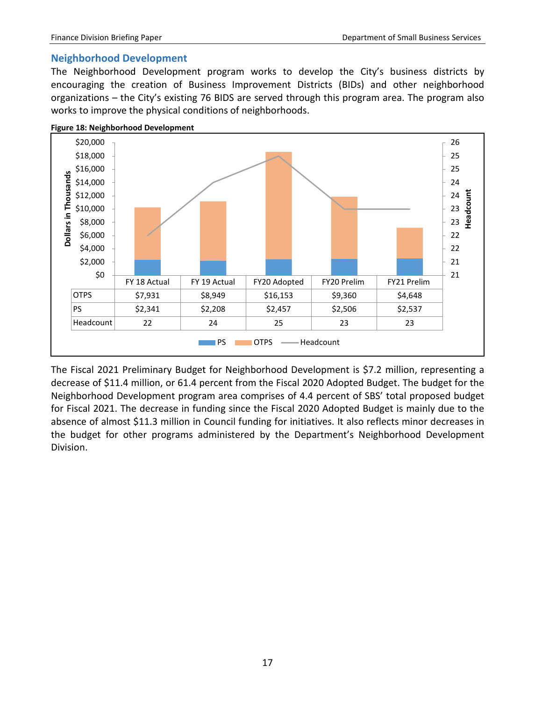#### <span id="page-18-0"></span>**Neighborhood Development**

The Neighborhood Development program works to develop the City's business districts by encouraging the creation of Business Improvement Districts (BIDs) and other neighborhood organizations – the City's existing 76 BIDS are served through this program area. The program also works to improve the physical conditions of neighborhoods.



The Fiscal 2021 Preliminary Budget for Neighborhood Development is \$7.2 million, representing a decrease of \$11.4 million, or 61.4 percent from the Fiscal 2020 Adopted Budget. The budget for the Neighborhood Development program area comprises of 4.4 percent of SBS' total proposed budget for Fiscal 2021. The decrease in funding since the Fiscal 2020 Adopted Budget is mainly due to the absence of almost \$11.3 million in Council funding for initiatives. It also reflects minor decreases in the budget for other programs administered by the Department's Neighborhood Development Division.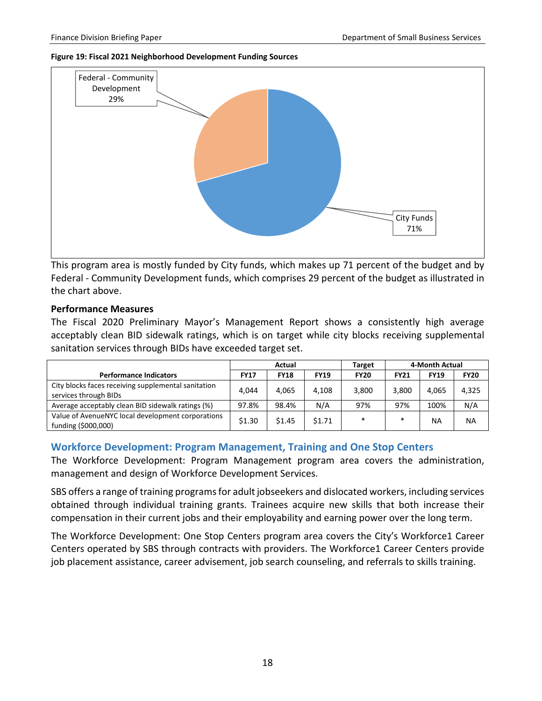#### **Figure 19: Fiscal 2021 Neighborhood Development Funding Sources**



This program area is mostly funded by City funds, which makes up 71 percent of the budget and by Federal - Community Development funds, which comprises 29 percent of the budget as illustrated in the chart above.

#### **Performance Measures**

The Fiscal 2020 Preliminary Mayor's Management Report shows a consistently high average acceptably clean BID sidewalk ratings, which is on target while city blocks receiving supplemental sanitation services through BIDs have exceeded target set.

|                                                                              | Actual      |             |             | <b>Target</b> | 4-Month Actual |             |             |
|------------------------------------------------------------------------------|-------------|-------------|-------------|---------------|----------------|-------------|-------------|
| <b>Performance Indicators</b>                                                | <b>FY17</b> | <b>FY18</b> | <b>FY19</b> | <b>FY20</b>   | <b>FY21</b>    | <b>FY19</b> | <b>FY20</b> |
| City blocks faces receiving supplemental sanitation<br>services through BIDs | 4.044       | 4.065       | 4.108       | 3,800         | 3.800          | 4.065       | 4,325       |
| Average acceptably clean BID sidewalk ratings (%)                            | 97.8%       | 98.4%       | N/A         | 97%           | 97%            | 100%        | N/A         |
| Value of AvenueNYC local development corporations<br>funding (\$000,000)     | \$1.30      | \$1.45      | \$1.71      | $\ast$        | $\ast$         | <b>NA</b>   | <b>NA</b>   |

#### <span id="page-19-0"></span>**Workforce Development: Program Management, Training and One Stop Centers**

The Workforce Development: Program Management program area covers the administration, management and design of Workforce Development Services.

SBS offers a range of training programs for adult jobseekers and dislocated workers, including services obtained through individual training grants. Trainees acquire new skills that both increase their compensation in their current jobs and their employability and earning power over the long term.

The Workforce Development: One Stop Centers program area covers the City's Workforce1 Career Centers operated by SBS through contracts with providers. The Workforce1 Career Centers provide job placement assistance, career advisement, job search counseling, and referrals to skills training.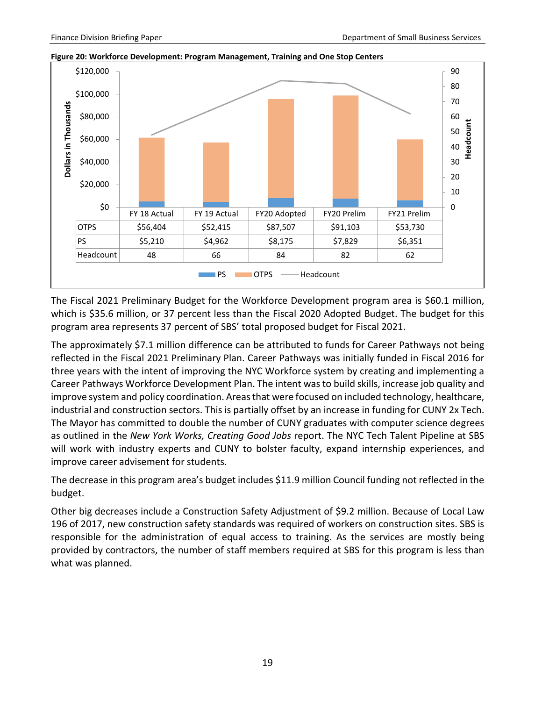

**Figure 20: Workforce Development: Program Management, Training and One Stop Centers**

The Fiscal 2021 Preliminary Budget for the Workforce Development program area is \$60.1 million, which is \$35.6 million, or 37 percent less than the Fiscal 2020 Adopted Budget. The budget for this program area represents 37 percent of SBS' total proposed budget for Fiscal 2021.

The approximately \$7.1 million difference can be attributed to funds for Career Pathways not being reflected in the Fiscal 2021 Preliminary Plan. Career Pathways was initially funded in Fiscal 2016 for three years with the intent of improving the NYC Workforce system by creating and implementing a Career Pathways Workforce Development Plan. The intent was to build skills, increase job quality and improve system and policy coordination. Areas that were focused on included technology, healthcare, industrial and construction sectors. This is partially offset by an increase in funding for CUNY 2x Tech. The Mayor has committed to double the number of CUNY graduates with computer science degrees as outlined in the *New York Works, Creating Good Jobs* report. The NYC Tech Talent Pipeline at SBS will work with industry experts and CUNY to bolster faculty, expand internship experiences, and improve career advisement for students.

The decrease in this program area's budget includes \$11.9 million Council funding not reflected in the budget.

Other big decreases include a Construction Safety Adjustment of \$9.2 million. Because of Local Law 196 of 2017, new construction safety standards was required of workers on construction sites. SBS is responsible for the administration of equal access to training. As the services are mostly being provided by contractors, the number of staff members required at SBS for this program is less than what was planned.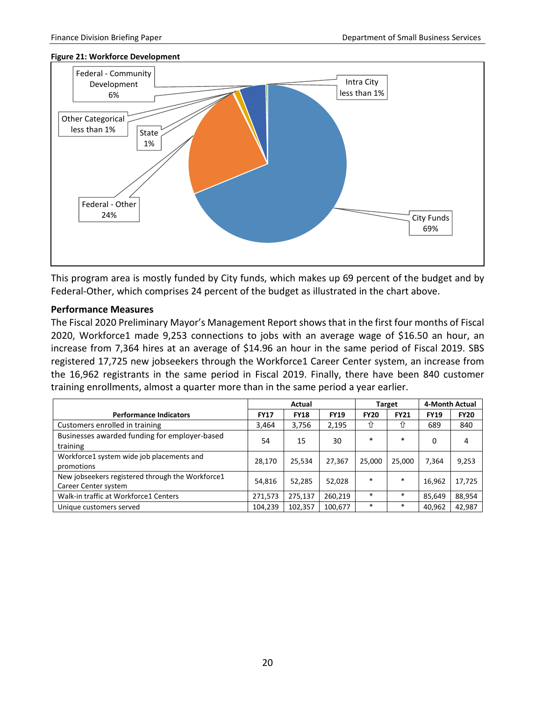#### **Figure 21: Workforce Development**



This program area is mostly funded by City funds, which makes up 69 percent of the budget and by Federal-Other, which comprises 24 percent of the budget as illustrated in the chart above.

#### **Performance Measures**

The Fiscal 2020 Preliminary Mayor's Management Report shows that in the first four months of Fiscal 2020, Workforce1 made 9,253 connections to jobs with an average wage of \$16.50 an hour, an increase from 7,364 hires at an average of \$14.96 an hour in the same period of Fiscal 2019. SBS registered 17,725 new jobseekers through the Workforce1 Career Center system, an increase from the 16,962 registrants in the same period in Fiscal 2019. Finally, there have been 840 customer training enrollments, almost a quarter more than in the same period a year earlier.

|                                                                          |             | Actual      |             | <b>Target</b> | 4-Month Actual |             |             |
|--------------------------------------------------------------------------|-------------|-------------|-------------|---------------|----------------|-------------|-------------|
| <b>Performance Indicators</b>                                            | <b>FY17</b> | <b>FY18</b> | <b>FY19</b> | <b>FY20</b>   | <b>FY21</b>    | <b>FY19</b> | <b>FY20</b> |
| Customers enrolled in training                                           | 3,464       | 3,756       | 2,195       | ⇧             | ⇧              | 689         | 840         |
| Businesses awarded funding for employer-based<br>training                | 54          | 15          | 30          | $\ast$        | $\ast$         | 0           | 4           |
| Workforce1 system wide job placements and<br>promotions                  | 28,170      | 25,534      | 27.367      | 25,000        | 25,000         | 7,364       | 9,253       |
| New jobseekers registered through the Workforce1<br>Career Center system | 54,816      | 52,285      | 52,028      | $*$           | $\ast$         | 16,962      | 17,725      |
| Walk-in traffic at Workforce1 Centers                                    | 271,573     | 275,137     | 260,219     | $\ast$        | $\ast$         | 85,649      | 88,954      |
| Unique customers served                                                  | 104,239     | 102,357     | 100,677     | $*$           | $\ast$         | 40,962      | 42,987      |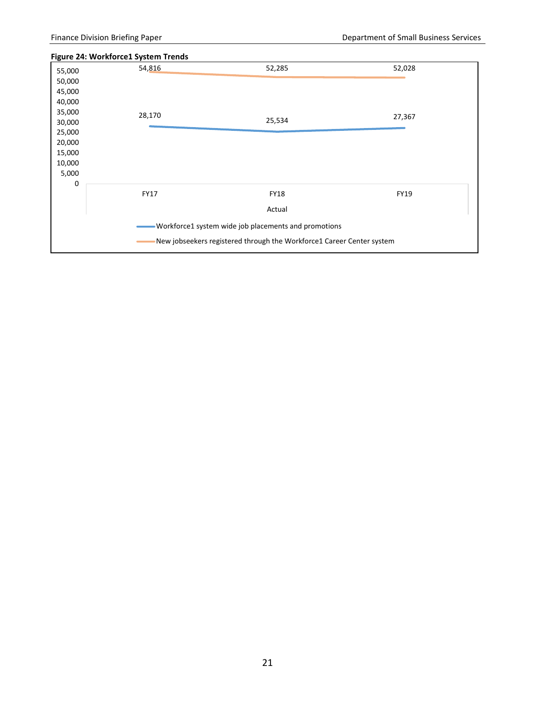#### **Figure 24: Workforce1 System Trends**

| 55,000<br>50,000<br>45,000                                                  | 54,816      | 52,285                                                                        | 52,028      |  |  |  |  |  |
|-----------------------------------------------------------------------------|-------------|-------------------------------------------------------------------------------|-------------|--|--|--|--|--|
| 40,000<br>35,000<br>30,000<br>25,000<br>20,000<br>15,000<br>10,000<br>5,000 | 28,170      | 25,534                                                                        | 27,367      |  |  |  |  |  |
| 0                                                                           | <b>FY17</b> | <b>FY18</b><br>Actual<br>Workforce1 system wide job placements and promotions | <b>FY19</b> |  |  |  |  |  |
| New jobseekers registered through the Workforce1 Career Center system       |             |                                                                               |             |  |  |  |  |  |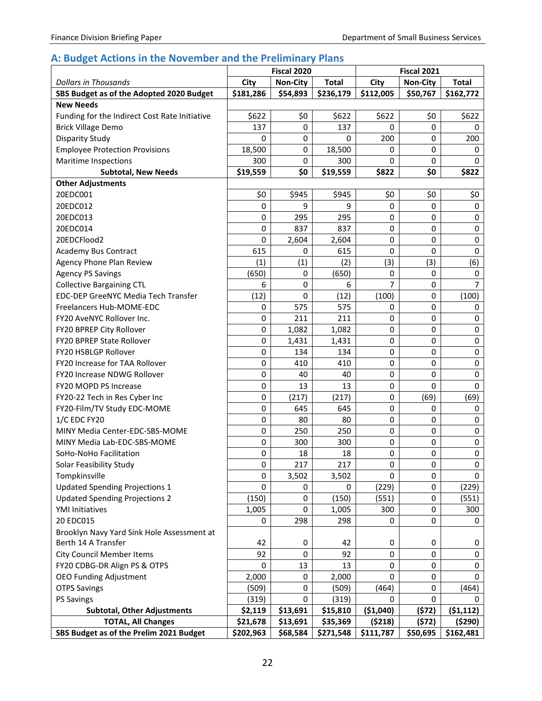# <span id="page-23-0"></span>**A: Budget Actions in the November and the Preliminary Plans**

|                                               | Fiscal 2020 |                 |              |             | <b>Fiscal 2021</b> |                |
|-----------------------------------------------|-------------|-----------------|--------------|-------------|--------------------|----------------|
| <b>Dollars in Thousands</b>                   | City        | <b>Non-City</b> | <b>Total</b> | City        | <b>Non-City</b>    | <b>Total</b>   |
| SBS Budget as of the Adopted 2020 Budget      | \$181,286   | \$54,893        | \$236,179    | \$112,005   | \$50,767           | \$162,772      |
| <b>New Needs</b>                              |             |                 |              |             |                    |                |
| Funding for the Indirect Cost Rate Initiative | \$622       | \$0             | \$622        | \$622       | \$0                | \$622          |
| <b>Brick Village Demo</b>                     | 137         | 0               | 137          | 0           | 0                  | 0              |
| <b>Disparity Study</b>                        | 0           | 0               | 0            | 200         | 0                  | 200            |
| <b>Employee Protection Provisions</b>         | 18,500      | 0               | 18,500       | 0           | 0                  | 0              |
| <b>Maritime Inspections</b>                   | 300         | 0               | 300          | 0           | 0                  | 0              |
| <b>Subtotal, New Needs</b>                    | \$19,559    | \$0             | \$19,559     | \$822       | \$0                | \$822          |
| <b>Other Adjustments</b>                      |             |                 |              |             |                    |                |
| 20EDC001                                      | \$0         | \$945           | \$945        | \$0         | \$0                | \$0            |
| 20EDC012                                      | $\mathbf 0$ | 9               | 9            | 0           | $\mathbf 0$        | 0              |
| 20EDC013                                      | 0           | 295             | 295          | 0           | $\mathbf 0$        | 0              |
| 20EDC014                                      | 0           | 837             | 837          | $\mathbf 0$ | $\mathbf 0$        | 0              |
| 20EDCFlood2                                   | 0           | 2,604           | 2,604        | 0           | $\mathbf 0$        | 0              |
| <b>Academy Bus Contract</b>                   | 615         | 0               | 615          | 0           | $\mathbf 0$        | 0              |
| Agency Phone Plan Review                      | (1)         | (1)             | (2)          | (3)         | (3)                | (6)            |
| <b>Agency PS Savings</b>                      | (650)       | 0               | (650)        | 0           | 0                  | 0              |
| <b>Collective Bargaining CTL</b>              | 6           | 0               | 6            | 7           | $\mathbf 0$        | $\overline{7}$ |
| EDC-DEP GreeNYC Media Tech Transfer           | (12)        | 0               | (12)         | (100)       | $\mathbf 0$        | (100)          |
| Freelancers Hub-MOME-EDC                      | 0           | 575             | 575          | 0           | 0                  | 0              |
| FY20 AveNYC Rollover Inc.                     | 0           | 211             | 211          | 0           | $\mathbf 0$        | 0              |
| FY20 BPREP City Rollover                      | 0           | 1,082           | 1,082        | $\mathbf 0$ | $\mathbf 0$        | 0              |
| <b>FY20 BPREP State Rollover</b>              | 0           | 1,431           | 1,431        | 0           | $\mathbf 0$        | 0              |
| FY20 HSBLGP Rollover                          | 0           | 134             | 134          | 0           | $\pmb{0}$          | 0              |
| FY20 Increase for TAA Rollover                | 0           | 410             | 410          | 0           | $\mathbf 0$        | 0              |
| <b>FY20 Increase NDWG Rollover</b>            | 0           | 40              | 40           | $\pmb{0}$   | 0                  | 0              |
| FY20 MOPD PS Increase                         | $\pmb{0}$   | 13              | 13           | 0           | $\mathbf{0}$       | 0              |
| FY20-22 Tech in Res Cyber Inc                 | $\pmb{0}$   | (217)           | (217)        | 0           | (69)               | (69)           |
| FY20-Film/TV Study EDC-MOME                   | 0           | 645             | 645          | 0           | 0                  | 0              |
| 1/C EDC FY20                                  | 0           | 80              | 80           | $\mathbf 0$ | $\mathbf 0$        | 0              |
| MINY Media Center-EDC-SBS-MOME                | $\pmb{0}$   | 250             | 250          | 0           | $\mathbf 0$        | 0              |
| MINY Media Lab-EDC-SBS-MOME                   | $\pmb{0}$   | 300             | 300          | 0           | $\pmb{0}$          | $\pmb{0}$      |
| SoHo-NoHo Facilitation                        | 0           | 18              | 18           | 0           | $\mathbf 0$        | 0              |
| Solar Feasibility Study                       | 0           | 217             | 217          | 0           | 0                  | 0              |
| Tompkinsville                                 | 0           | 3,502           | 3,502        | $\Omega$    | 0                  | 0              |
| <b>Updated Spending Projections 1</b>         | 0           | 0               | 0            | (229)       | 0                  | (229)          |
| <b>Updated Spending Projections 2</b>         | (150)       | 0               | (150)        | (551)       | $\pmb{0}$          | (551)          |
| <b>YMI Initiatives</b>                        | 1,005       | 0               | 1,005        | 300         | 0                  | 300            |
| 20 EDC015                                     | 0           | 298             | 298          | 0           | 0                  | 0              |
| Brooklyn Navy Yard Sink Hole Assessment at    |             |                 |              |             |                    |                |
| Berth 14 A Transfer                           | 42          | 0               | 42           | 0           | 0                  | 0              |
| <b>City Council Member Items</b>              | 92          | 0               | 92           | 0           | 0                  | 0              |
| FY20 CDBG-DR Align PS & OTPS                  | 0           | 13              | 13           | 0           | 0                  | 0              |
| <b>OEO Funding Adjustment</b>                 | 2,000       | 0               | 2,000        | 0           | 0                  | 0              |
| <b>OTPS Savings</b>                           | (509)       | 0               | (509)        | (464)       | 0                  | (464)          |
| <b>PS Savings</b>                             | (319)       | $\Omega$        | (319)        | 0           | 0                  | 0              |
| <b>Subtotal, Other Adjustments</b>            | \$2,119     | \$13,691        | \$15,810     | (\$1,040)   | (572)              | (51, 112)      |
| <b>TOTAL, All Changes</b>                     | \$21,678    | \$13,691        | \$35,369     | (5218)      | (572)              | (\$290)        |
| SBS Budget as of the Prelim 2021 Budget       | \$202,963   | \$68,584        | \$271,548    | \$111,787   | \$50,695           | \$162,481      |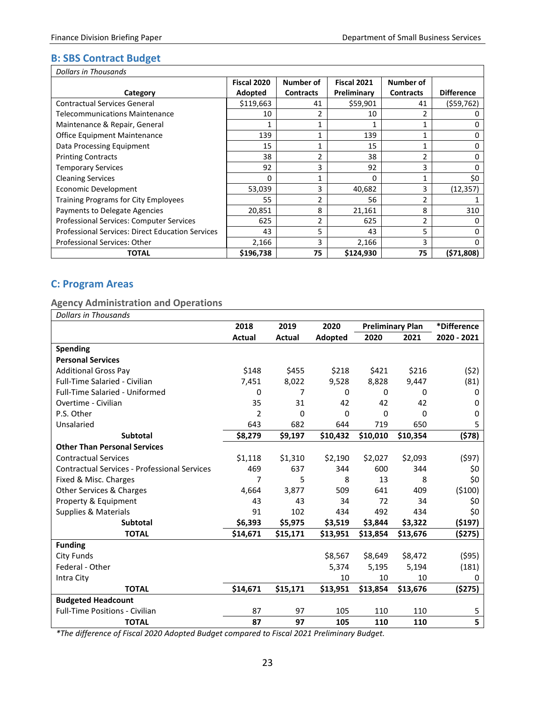## <span id="page-24-0"></span>**B: SBS Contract Budget**

| <b>Dollars in Thousands</b>                             |             |                  |             |                  |                   |  |  |  |  |
|---------------------------------------------------------|-------------|------------------|-------------|------------------|-------------------|--|--|--|--|
|                                                         | Fiscal 2020 | Number of        | Fiscal 2021 | Number of        |                   |  |  |  |  |
| Category                                                | Adopted     | <b>Contracts</b> | Preliminary | <b>Contracts</b> | <b>Difference</b> |  |  |  |  |
| <b>Contractual Services General</b>                     | \$119,663   | 41               | \$59,901    | 41               | (559, 762)        |  |  |  |  |
| Telecommunications Maintenance                          | 10          | 2                | 10          | 2                | 0                 |  |  |  |  |
| Maintenance & Repair, General                           |             |                  |             |                  | 0                 |  |  |  |  |
| <b>Office Equipment Maintenance</b>                     | 139         | 1                | 139         |                  | 0                 |  |  |  |  |
| Data Processing Equipment                               | 15          | 1                | 15          |                  | 0                 |  |  |  |  |
| <b>Printing Contracts</b>                               | 38          | 2                | 38          | 2                | 0                 |  |  |  |  |
| <b>Temporary Services</b>                               | 92          | 3                | 92          | 3                | 0                 |  |  |  |  |
| <b>Cleaning Services</b>                                | 0           | 1                | $\Omega$    |                  | \$0               |  |  |  |  |
| Economic Development                                    | 53,039      | 3                | 40,682      | 3                | (12, 357)         |  |  |  |  |
| <b>Training Programs for City Employees</b>             | 55          | $\overline{2}$   | 56          | $\overline{2}$   |                   |  |  |  |  |
| Payments to Delegate Agencies                           | 20,851      | 8                | 21,161      | 8                | 310               |  |  |  |  |
| Professional Services: Computer Services                | 625         | 2                | 625         | $\overline{2}$   | 0                 |  |  |  |  |
| <b>Professional Services: Direct Education Services</b> | 43          | 5                | 43          | 5                | 0                 |  |  |  |  |
| Professional Services: Other                            | 2,166       | 3                | 2,166       | 3                | 0                 |  |  |  |  |
| <b>TOTAL</b>                                            | \$196,738   | 75               | \$124,930   | 75               | (571,808)         |  |  |  |  |

## <span id="page-24-1"></span>**C: Program Areas**

## <span id="page-24-2"></span>**Agency Administration and Operations**

| <b>Dollars in Thousands</b>                         |                |          |          |                         |          |             |
|-----------------------------------------------------|----------------|----------|----------|-------------------------|----------|-------------|
|                                                     | 2018           | 2019     | 2020     | <b>Preliminary Plan</b> |          | *Difference |
|                                                     | Actual         | Actual   | Adopted  | 2020                    | 2021     | 2020 - 2021 |
| <b>Spending</b>                                     |                |          |          |                         |          |             |
| <b>Personal Services</b>                            |                |          |          |                         |          |             |
| <b>Additional Gross Pay</b>                         | \$148          | \$455    | \$218    | \$421                   | \$216    | (52)        |
| <b>Full-Time Salaried - Civilian</b>                | 7,451          | 8,022    | 9,528    | 8,828                   | 9,447    | (81)        |
| <b>Full-Time Salaried - Uniformed</b>               | 0              | 7        | 0        | $\Omega$                | 0        | 0           |
| Overtime - Civilian                                 | 35             | 31       | 42       | 42                      | 42       | 0           |
| P.S. Other                                          | $\overline{2}$ | 0        | 0        | $\Omega$                | 0        | $\Omega$    |
| Unsalaried                                          | 643            | 682      | 644      | 719                     | 650      | 5           |
| <b>Subtotal</b>                                     | \$8,279        | \$9,197  | \$10,432 | \$10,010                | \$10,354 | (\$78)      |
| <b>Other Than Personal Services</b>                 |                |          |          |                         |          |             |
| <b>Contractual Services</b>                         | \$1,118        | \$1,310  | \$2,190  | \$2,027                 | \$2,093  | (597)       |
| <b>Contractual Services - Professional Services</b> | 469            | 637      | 344      | 600                     | 344      | \$0         |
| Fixed & Misc. Charges                               | 7              | 5        | 8        | 13                      | 8        | \$0         |
| Other Services & Charges                            | 4,664          | 3,877    | 509      | 641                     | 409      | (5100)      |
| Property & Equipment                                | 43             | 43       | 34       | 72                      | 34       | \$0         |
| <b>Supplies &amp; Materials</b>                     | 91             | 102      | 434      | 492                     | 434      | \$0         |
| <b>Subtotal</b>                                     | \$6,393        | \$5,975  | \$3,519  | \$3,844                 | \$3,322  | ( \$197)    |
| <b>TOTAL</b>                                        | \$14,671       | \$15,171 | \$13,951 | \$13,854                | \$13,676 | (\$275)     |
| <b>Funding</b>                                      |                |          |          |                         |          |             |
| <b>City Funds</b>                                   |                |          | \$8,567  | \$8,649                 | \$8,472  | (595)       |
| Federal - Other                                     |                |          | 5,374    | 5,195                   | 5,194    | (181)       |
| Intra City                                          |                |          | 10       | 10                      | 10       | 0           |
| <b>TOTAL</b>                                        | \$14,671       | \$15,171 | \$13,951 | \$13,854                | \$13,676 | (\$275)     |
| <b>Budgeted Headcount</b>                           |                |          |          |                         |          |             |
| <b>Full-Time Positions - Civilian</b>               | 87             | 97       | 105      | 110                     | 110      | 5           |
| <b>TOTAL</b>                                        | 87             | 97       | 105      | 110                     | 110      | 5           |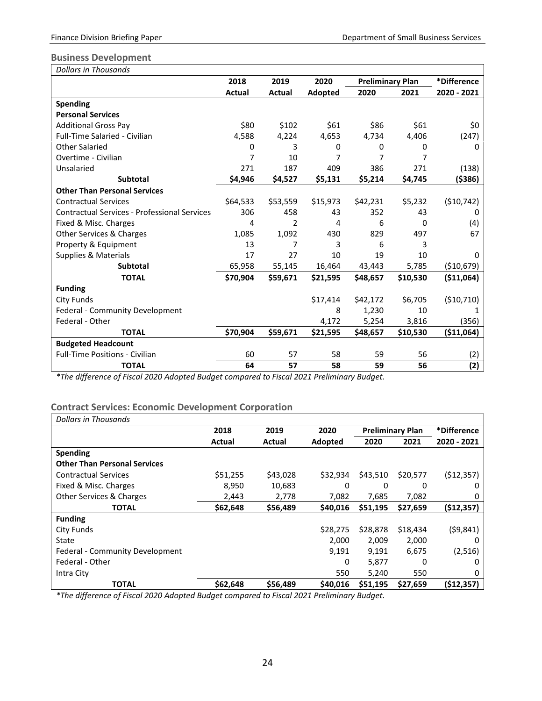## <span id="page-25-0"></span>**Business Development**

| <b>Dollars in Thousands</b>                         |               |                |          |                         |          |             |
|-----------------------------------------------------|---------------|----------------|----------|-------------------------|----------|-------------|
|                                                     | 2018          | 2019           | 2020     | <b>Preliminary Plan</b> |          | *Difference |
|                                                     | <b>Actual</b> | Actual         | Adopted  | 2020                    | 2021     | 2020 - 2021 |
| <b>Spending</b>                                     |               |                |          |                         |          |             |
| <b>Personal Services</b>                            |               |                |          |                         |          |             |
| <b>Additional Gross Pay</b>                         | \$80          | \$102          | \$61     | \$86                    | \$61     | \$0         |
| <b>Full-Time Salaried - Civilian</b>                | 4,588         | 4,224          | 4,653    | 4,734                   | 4,406    | (247)       |
| <b>Other Salaried</b>                               | 0             | 3              | 0        | 0                       | 0        | 0           |
| Overtime - Civilian                                 | 7             | 10             | 7        | 7                       | 7        |             |
| Unsalaried                                          | 271           | 187            | 409      | 386                     | 271      | (138)       |
| <b>Subtotal</b>                                     | \$4,946       | \$4,527        | \$5,131  | \$5,214                 | \$4,745  | ( \$386)    |
| <b>Other Than Personal Services</b>                 |               |                |          |                         |          |             |
| <b>Contractual Services</b>                         | \$64,533      | \$53,559       | \$15,973 | \$42,231                | \$5,232  | (\$10,742)  |
| <b>Contractual Services - Professional Services</b> | 306           | 458            | 43       | 352                     | 43       | 0           |
| Fixed & Misc. Charges                               | 4             | $\overline{2}$ | 4        | 6                       | 0        | (4)         |
| Other Services & Charges                            | 1,085         | 1,092          | 430      | 829                     | 497      | 67          |
| Property & Equipment                                | 13            | 7              | 3        | 6                       | 3        |             |
| Supplies & Materials                                | 17            | 27             | 10       | 19                      | 10       | 0           |
| <b>Subtotal</b>                                     | 65,958        | 55,145         | 16,464   | 43,443                  | 5,785    | ( \$10,679) |
| <b>TOTAL</b>                                        | \$70,904      | \$59,671       | \$21,595 | \$48,657                | \$10,530 | ( \$11,064) |
| <b>Funding</b>                                      |               |                |          |                         |          |             |
| City Funds                                          |               |                | \$17,414 | \$42,172                | \$6,705  | (\$10,710)  |
| <b>Federal - Community Development</b>              |               |                | 8        | 1,230                   | 10       |             |
| Federal - Other                                     |               |                | 4,172    | 5,254                   | 3,816    | (356)       |
| <b>TOTAL</b>                                        | \$70,904      | \$59,671       | \$21,595 | \$48,657                | \$10,530 | (\$11,064)  |
| <b>Budgeted Headcount</b>                           |               |                |          |                         |          |             |
| <b>Full-Time Positions - Civilian</b>               | 60            | 57             | 58       | 59                      | 56       | (2)         |
| <b>TOTAL</b>                                        | 64            | 57             | 58       | 59                      | 56       | (2)         |

*\*The difference of Fiscal 2020 Adopted Budget compared to Fiscal 2021 Preliminary Budget.*

## <span id="page-25-1"></span>**Contract Services: Economic Development Corporation**

| Dollars in Thousands                |          |          |          |                         |          |              |
|-------------------------------------|----------|----------|----------|-------------------------|----------|--------------|
|                                     | 2018     | 2019     | 2020     | <b>Preliminary Plan</b> |          | *Difference  |
|                                     | Actual   | Actual   | Adopted  | 2020                    | 2021     | 2020 - 2021  |
| <b>Spending</b>                     |          |          |          |                         |          |              |
| <b>Other Than Personal Services</b> |          |          |          |                         |          |              |
| <b>Contractual Services</b>         | \$51,255 | \$43,028 | \$32,934 | \$43,510                | \$20,577 | ( \$12, 357) |
| Fixed & Misc. Charges               | 8,950    | 10,683   | 0        | 0                       | 0        | 0            |
| Other Services & Charges            | 2,443    | 2,778    | 7,082    | 7,685                   | 7,082    | 0            |
| <b>TOTAL</b>                        | \$62,648 | \$56,489 | \$40,016 | \$51,195                | \$27,659 | (512, 357)   |
| <b>Funding</b>                      |          |          |          |                         |          |              |
| City Funds                          |          |          | \$28,275 | \$28,878                | \$18,434 | (59, 841)    |
| State                               |          |          | 2,000    | 2,009                   | 2,000    | 0            |
| Federal - Community Development     |          |          | 9.191    | 9,191                   | 6,675    | (2,516)      |
| Federal - Other                     |          |          | 0        | 5,877                   | 0        | 0            |
| Intra City                          |          |          | 550      | 5,240                   | 550      | 0            |
| <b>TOTAL</b>                        | \$62,648 | \$56.489 | \$40,016 | \$51,195                | \$27,659 | (\$12,357)   |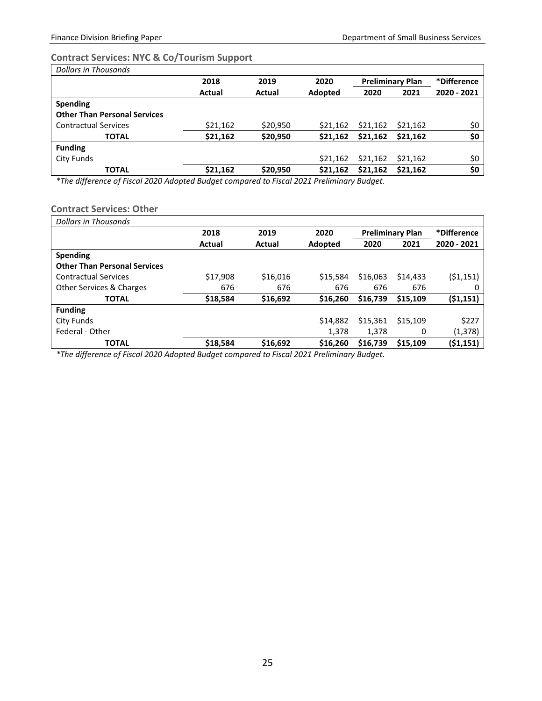## <span id="page-26-0"></span>**Contract Services: NYC & Co/Tourism Support**

| <b>Dollars in Thousands</b>         |          |          |                                 |          |          |             |  |
|-------------------------------------|----------|----------|---------------------------------|----------|----------|-------------|--|
|                                     | 2018     | 2019     | 2020<br><b>Preliminary Plan</b> |          |          | *Difference |  |
|                                     | Actual   | Actual   | Adopted                         | 2020     | 2021     | 2020 - 2021 |  |
| <b>Spending</b>                     |          |          |                                 |          |          |             |  |
| <b>Other Than Personal Services</b> |          |          |                                 |          |          |             |  |
| <b>Contractual Services</b>         | \$21,162 | \$20,950 | \$21,162                        | \$21,162 | \$21.162 | \$0         |  |
| <b>TOTAL</b>                        | \$21,162 | \$20,950 | \$21,162                        | \$21,162 | \$21,162 | \$0         |  |
| <b>Funding</b>                      |          |          |                                 |          |          |             |  |
| City Funds                          |          |          | \$21,162                        | \$21,162 | \$21,162 | \$0         |  |
| <b>TOTAL</b>                        | \$21,162 | \$20,950 | \$21,162                        | \$21,162 | \$21.162 | \$0         |  |

*\*The difference of Fiscal 2020 Adopted Budget compared to Fiscal 2021 Preliminary Budget.*

#### <span id="page-26-1"></span>**Contract Services: Other**

| Dollars in Thousands                |          |          |          |              |                         |             |
|-------------------------------------|----------|----------|----------|--------------|-------------------------|-------------|
|                                     | 2018     | 2019     | 2020     |              | <b>Preliminary Plan</b> | *Difference |
|                                     | Actual   | Actual   | Adopted  | 2020<br>2021 |                         | 2020 - 2021 |
| <b>Spending</b>                     |          |          |          |              |                         |             |
| <b>Other Than Personal Services</b> |          |          |          |              |                         |             |
| <b>Contractual Services</b>         | \$17,908 | \$16,016 | \$15,584 | \$16,063     | \$14,433                | (51, 151)   |
| Other Services & Charges            | 676      | 676      | 676      | 676          | 676                     | 0           |
| <b>TOTAL</b>                        | \$18,584 | \$16,692 | \$16,260 | \$16,739     | \$15,109                | (51, 151)   |
| <b>Funding</b>                      |          |          |          |              |                         |             |
| City Funds                          |          |          | \$14,882 | \$15,361     | \$15,109                | \$227       |
| Federal - Other                     |          |          | 1,378    | 1.378        | 0                       | (1,378)     |
| <b>TOTAL</b>                        | \$18,584 | \$16,692 | \$16,260 | \$16,739     | \$15,109                | (\$1,151)   |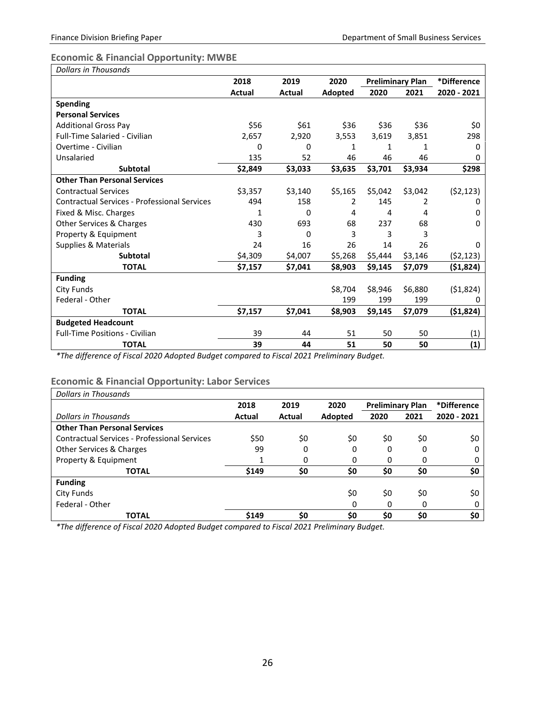# <span id="page-27-0"></span>**Economic & Financial Opportunity: MWBE**

| <b>Dollars in Thousands</b>                         |               |         |         |                         |         |             |
|-----------------------------------------------------|---------------|---------|---------|-------------------------|---------|-------------|
|                                                     | 2018          | 2019    | 2020    | <b>Preliminary Plan</b> |         | *Difference |
|                                                     | <b>Actual</b> | Actual  | Adopted | 2020                    | 2021    | 2020 - 2021 |
| <b>Spending</b>                                     |               |         |         |                         |         |             |
| <b>Personal Services</b>                            |               |         |         |                         |         |             |
| <b>Additional Gross Pay</b>                         | \$56          | \$61    | \$36    | \$36                    | \$36    | \$0         |
| <b>Full-Time Salaried - Civilian</b>                | 2,657         | 2,920   | 3,553   | 3,619                   | 3,851   | 298         |
| Overtime - Civilian                                 | 0             | 0       | 1       | 1                       | 1       | 0           |
| Unsalaried                                          | 135           | 52      | 46      | 46                      | 46      | 0           |
| <b>Subtotal</b>                                     | \$2,849       | \$3,033 | \$3,635 | \$3,701                 | \$3,934 | \$298       |
| <b>Other Than Personal Services</b>                 |               |         |         |                         |         |             |
| <b>Contractual Services</b>                         | \$3,357       | \$3,140 | \$5,165 | \$5,042                 | \$3,042 | (52, 123)   |
| <b>Contractual Services - Professional Services</b> | 494           | 158     | 2       | 145                     | 2       | 0           |
| Fixed & Misc. Charges                               | 1             | 0       | 4       | 4                       | 4       | 0           |
| Other Services & Charges                            | 430           | 693     | 68      | 237                     | 68      | 0           |
| Property & Equipment                                | 3             | 0       | 3       | 3                       | 3       |             |
| <b>Supplies &amp; Materials</b>                     | 24            | 16      | 26      | 14                      | 26      | 0           |
| <b>Subtotal</b>                                     | \$4,309       | \$4,007 | \$5,268 | \$5,444                 | \$3,146 | (52, 123)   |
| <b>TOTAL</b>                                        | \$7,157       | \$7,041 | \$8,903 | \$9,145                 | \$7,079 | (51, 824)   |
| <b>Funding</b>                                      |               |         |         |                         |         |             |
| <b>City Funds</b>                                   |               |         | \$8,704 | \$8,946                 | \$6,880 | ( \$1,824)  |
| Federal - Other                                     |               |         | 199     | 199                     | 199     | 0           |
| <b>TOTAL</b>                                        | \$7,157       | \$7,041 | \$8,903 | \$9,145                 | \$7,079 | (\$1,824)   |
| <b>Budgeted Headcount</b>                           |               |         |         |                         |         |             |
| <b>Full-Time Positions - Civilian</b>               | 39            | 44      | 51      | 50                      | 50      | (1)         |
| <b>TOTAL</b>                                        | 39            | 44      | 51      | 50                      | 50      | (1)         |

*\*The difference of Fiscal 2020 Adopted Budget compared to Fiscal 2021 Preliminary Budget.*

# <span id="page-27-1"></span>**Economic & Financial Opportunity: Labor Services**

| Dollars in Thousands                                |        |        |         |                         |      |             |  |
|-----------------------------------------------------|--------|--------|---------|-------------------------|------|-------------|--|
|                                                     | 2018   | 2019   | 2020    | <b>Preliminary Plan</b> |      | *Difference |  |
| Dollars in Thousands                                | Actual | Actual | Adopted | 2020                    | 2021 | 2020 - 2021 |  |
| <b>Other Than Personal Services</b>                 |        |        |         |                         |      |             |  |
| <b>Contractual Services - Professional Services</b> | \$50   | \$0    | \$0     | \$0                     | \$0  | \$0         |  |
| Other Services & Charges                            | 99     | 0      | 0       | 0                       | 0    | 0           |  |
| Property & Equipment                                | 1      | 0      | 0       | 0                       | 0    |             |  |
| <b>TOTAL</b>                                        | \$149  | \$0    | \$0     | \$0                     | \$0  | \$0         |  |
| <b>Funding</b>                                      |        |        |         |                         |      |             |  |
| City Funds                                          |        |        | \$0     | \$0                     | \$0  | \$0         |  |
| Federal - Other                                     |        |        | 0       | 0                       | 0    |             |  |
| <b>TOTAL</b>                                        | \$149  | \$0    | \$0     | \$0                     | \$0  | \$0         |  |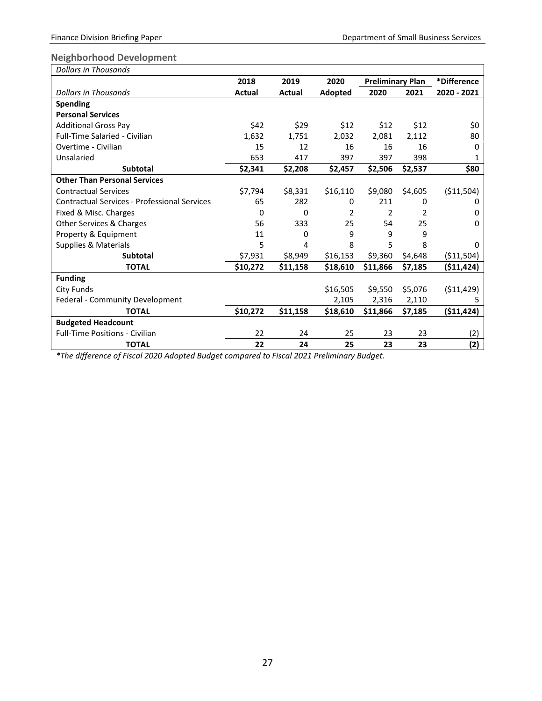## <span id="page-28-0"></span>**Neighborhood Development**

| <b>Dollars in Thousands</b>                         |          |          |          |                         |         |             |
|-----------------------------------------------------|----------|----------|----------|-------------------------|---------|-------------|
|                                                     | 2018     | 2019     | 2020     | <b>Preliminary Plan</b> |         | *Difference |
| Dollars in Thousands                                | Actual   | Actual   | Adopted  | 2020                    | 2021    | 2020 - 2021 |
| <b>Spending</b>                                     |          |          |          |                         |         |             |
| <b>Personal Services</b>                            |          |          |          |                         |         |             |
| <b>Additional Gross Pay</b>                         | \$42     | \$29     | \$12     | \$12                    | \$12    | \$0         |
| <b>Full-Time Salaried - Civilian</b>                | 1,632    | 1,751    | 2,032    | 2,081                   | 2,112   | 80          |
| Overtime - Civilian                                 | 15       | 12       | 16       | 16                      | 16      | 0           |
| Unsalaried                                          | 653      | 417      | 397      | 397                     | 398     | 1           |
| <b>Subtotal</b>                                     | \$2,341  | \$2,208  | \$2,457  | \$2,506                 | \$2,537 | \$80        |
| <b>Other Than Personal Services</b>                 |          |          |          |                         |         |             |
| <b>Contractual Services</b>                         | \$7,794  | \$8,331  | \$16,110 | \$9,080                 | \$4,605 | ( \$11,504) |
| <b>Contractual Services - Professional Services</b> | 65       | 282      | 0        | 211                     | 0       | 0           |
| Fixed & Misc. Charges                               | 0        | 0        | 2        | 2                       | 2       | $\Omega$    |
| Other Services & Charges                            | 56       | 333      | 25       | 54                      | 25      | 0           |
| Property & Equipment                                | 11       | 0        | 9        | 9                       | 9       |             |
| Supplies & Materials                                | 5        | 4        | 8        | 5                       | 8       | $\Omega$    |
| <b>Subtotal</b>                                     | \$7,931  | \$8,949  | \$16,153 | \$9,360                 | \$4,648 | ( \$11,504) |
| <b>TOTAL</b>                                        | \$10,272 | \$11,158 | \$18,610 | \$11,866                | \$7,185 | ( \$11,424) |
| <b>Funding</b>                                      |          |          |          |                         |         |             |
| <b>City Funds</b>                                   |          |          | \$16,505 | \$9,550                 | \$5,076 | (511, 429)  |
| Federal - Community Development                     |          |          | 2,105    | 2,316                   | 2,110   | 5           |
| <b>TOTAL</b>                                        | \$10,272 | \$11,158 | \$18,610 | \$11,866                | \$7,185 | (511, 424)  |
| <b>Budgeted Headcount</b>                           |          |          |          |                         |         |             |
| <b>Full-Time Positions - Civilian</b>               | 22       | 24       | 25       | 23                      | 23      | (2)         |
| <b>TOTAL</b>                                        | 22       | 24       | 25       | 23                      | 23      | (2)         |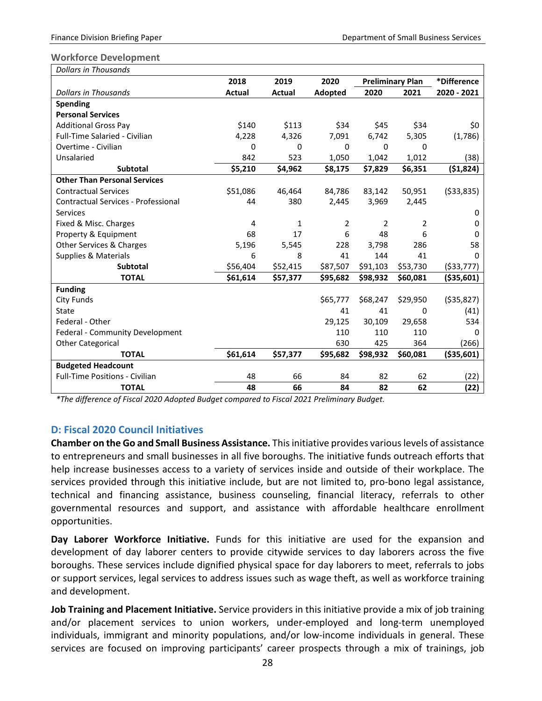#### <span id="page-29-0"></span>**Workforce Development**

| <b>Dollars in Thousands</b>                |          |          |                |                         |          |              |
|--------------------------------------------|----------|----------|----------------|-------------------------|----------|--------------|
|                                            | 2018     | 2019     | 2020           | <b>Preliminary Plan</b> |          | *Difference  |
| <b>Dollars in Thousands</b>                | Actual   | Actual   | Adopted        | 2020                    | 2021     | 2020 - 2021  |
| <b>Spending</b>                            |          |          |                |                         |          |              |
| <b>Personal Services</b>                   |          |          |                |                         |          |              |
| <b>Additional Gross Pay</b>                | \$140    | \$113    | \$34           | \$45                    | \$34     | \$0          |
| <b>Full-Time Salaried - Civilian</b>       | 4,228    | 4,326    | 7,091          | 6,742                   | 5,305    | (1,786)      |
| Overtime - Civilian                        | 0        | 0        | $\Omega$       | 0                       | 0        |              |
| Unsalaried                                 | 842      | 523      | 1,050          | 1,042                   | 1,012    | (38)         |
| <b>Subtotal</b>                            | \$5,210  | \$4,962  | \$8,175        | \$7,829                 | \$6,351  | ( \$1,824)   |
| <b>Other Than Personal Services</b>        |          |          |                |                         |          |              |
| <b>Contractual Services</b>                | \$51,086 | 46,464   | 84,786         | 83,142                  | 50,951   | ( \$33, 835) |
| <b>Contractual Services - Professional</b> | 44       | 380      | 2,445          | 3,969                   | 2,445    |              |
| <b>Services</b>                            |          |          |                |                         |          | 0            |
| Fixed & Misc. Charges                      | 4        | 1        | $\overline{2}$ | $\overline{2}$          | 2        | 0            |
| Property & Equipment                       | 68       | 17       | 6              | 48                      | 6        | 0            |
| Other Services & Charges                   | 5,196    | 5,545    | 228            | 3,798                   | 286      | 58           |
| Supplies & Materials                       | 6        | 8        | 41             | 144                     | 41       | 0            |
| <b>Subtotal</b>                            | \$56,404 | \$52,415 | \$87,507       | \$91,103                | \$53,730 | ( \$33,777)  |
| <b>TOTAL</b>                               | \$61,614 | \$57,377 | \$95,682       | \$98,932                | \$60,081 | ( \$35,601)  |
| <b>Funding</b>                             |          |          |                |                         |          |              |
| <b>City Funds</b>                          |          |          | \$65,777       | \$68,247                | \$29,950 | ( \$35, 827) |
| State                                      |          |          | 41             | 41                      | 0        | (41)         |
| Federal - Other                            |          |          | 29,125         | 30,109                  | 29,658   | 534          |
| Federal - Community Development            |          |          | 110            | 110                     | 110      | 0            |
| <b>Other Categorical</b>                   |          |          | 630            | 425                     | 364      | (266)        |
| <b>TOTAL</b>                               | \$61,614 | \$57,377 | \$95,682       | \$98,932                | \$60,081 | ( \$35,601)  |
| <b>Budgeted Headcount</b>                  |          |          |                |                         |          |              |
| <b>Full-Time Positions - Civilian</b>      | 48       | 66       | 84             | 82                      | 62       | (22)         |
| <b>TOTAL</b>                               | 48       | 66       | 84             | 82                      | 62       | (22)         |

*\*The difference of Fiscal 2020 Adopted Budget compared to Fiscal 2021 Preliminary Budget.*

## <span id="page-29-1"></span>**D: Fiscal 2020 Council Initiatives**

**Chamber on the Go and Small Business Assistance.** This initiative provides various levels of assistance to entrepreneurs and small businesses in all five boroughs. The initiative funds outreach efforts that help increase businesses access to a variety of services inside and outside of their workplace. The services provided through this initiative include, but are not limited to, pro-bono legal assistance, technical and financing assistance, business counseling, financial literacy, referrals to other governmental resources and support, and assistance with affordable healthcare enrollment opportunities.

**Day Laborer Workforce Initiative.** Funds for this initiative are used for the expansion and development of day laborer centers to provide citywide services to day laborers across the five boroughs. These services include dignified physical space for day laborers to meet, referrals to jobs or support services, legal services to address issues such as wage theft, as well as workforce training and development.

**Job Training and Placement Initiative.** Service providers in this initiative provide a mix of job training and/or placement services to union workers, under-employed and long-term unemployed individuals, immigrant and minority populations, and/or low-income individuals in general. These services are focused on improving participants' career prospects through a mix of trainings, job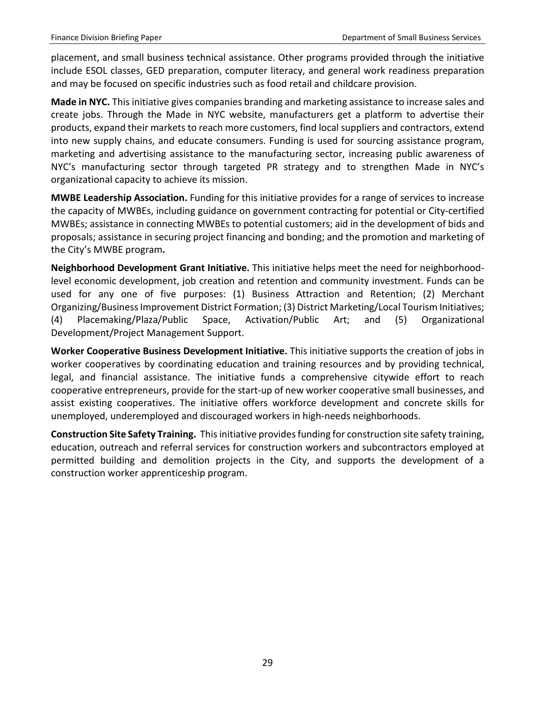placement, and small business technical assistance. Other programs provided through the initiative include ESOL classes, GED preparation, computer literacy, and general work readiness preparation and may be focused on specific industries such as food retail and childcare provision.

**Made in NYC.** This initiative gives companies branding and marketing assistance to increase sales and create jobs. Through the Made in NYC website, manufacturers get a platform to advertise their products, expand their markets to reach more customers, find local suppliers and contractors, extend into new supply chains, and educate consumers. Funding is used for sourcing assistance program, marketing and advertising assistance to the manufacturing sector, increasing public awareness of NYC's manufacturing sector through targeted PR strategy and to strengthen Made in NYC's organizational capacity to achieve its mission.

**MWBE Leadership Association.** Funding for this initiative provides for a range of services to increase the capacity of MWBEs, including guidance on government contracting for potential or City-certified MWBEs; assistance in connecting MWBEs to potential customers; aid in the development of bids and proposals; assistance in securing project financing and bonding; and the promotion and marketing of the City's MWBE program**.**

**Neighborhood Development Grant Initiative.** This initiative helps meet the need for neighborhoodlevel economic development, job creation and retention and community investment. Funds can be used for any one of five purposes: (1) Business Attraction and Retention; (2) Merchant Organizing/Business Improvement District Formation; (3) District Marketing/Local Tourism Initiatives; (4) Placemaking/Plaza/Public Space, Activation/Public Art; and (5) Organizational Development/Project Management Support.

**Worker Cooperative Business Development Initiative.** This initiative supports the creation of jobs in worker cooperatives by coordinating education and training resources and by providing technical, legal, and financial assistance. The initiative funds a comprehensive citywide effort to reach cooperative entrepreneurs, provide for the start-up of new worker cooperative small businesses, and assist existing cooperatives. The initiative offers workforce development and concrete skills for unemployed, underemployed and discouraged workers in high-needs neighborhoods.

**Construction Site Safety Training.** This initiative provides funding for construction site safety training, education, outreach and referral services for construction workers and subcontractors employed at permitted building and demolition projects in the City, and supports the development of a construction worker apprenticeship program.